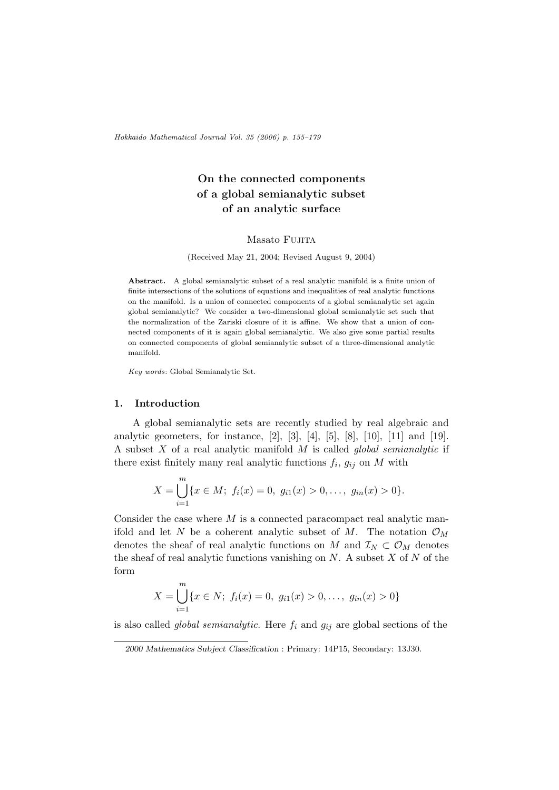Hokkaido Mathematical Journal Vol. 35 (2006) p. 155–179

# On the connected components of a global semianalytic subset of an analytic surface

## Masato Fujita

(Received May 21, 2004; Revised August 9, 2004)

Abstract. A global semianalytic subset of a real analytic manifold is a finite union of finite intersections of the solutions of equations and inequalities of real analytic functions on the manifold. Is a union of connected components of a global semianalytic set again global semianalytic? We consider a two-dimensional global semianalytic set such that the normalization of the Zariski closure of it is affine. We show that a union of connected components of it is again global semianalytic. We also give some partial results on connected components of global semianalytic subset of a three-dimensional analytic manifold.

Key words: Global Semianalytic Set.

#### 1. Introduction

A global semianalytic sets are recently studied by real algebraic and analytic geometers, for instance, [2], [3], [4], [5], [8], [10], [11] and [19]. A subset  $X$  of a real analytic manifold  $M$  is called global semianalytic if there exist finitely many real analytic functions  $f_i$ ,  $g_{ij}$  on M with

$$
X = \bigcup_{i=1}^{m} \{x \in M; \ f_i(x) = 0, \ g_{i1}(x) > 0, \ldots, \ g_{in}(x) > 0\}.
$$

Consider the case where  $M$  is a connected paracompact real analytic manifold and let N be a coherent analytic subset of M. The notation  $\mathcal{O}_M$ denotes the sheaf of real analytic functions on M and  $\mathcal{I}_N \subset \mathcal{O}_M$  denotes the sheaf of real analytic functions vanishing on  $N$ . A subset  $X$  of  $N$  of the form

$$
X = \bigcup_{i=1}^{m} \{x \in N; \ f_i(x) = 0, \ g_{i1}(x) > 0, \dots, \ g_{in}(x) > 0\}
$$

is also called *global semianalytic*. Here  $f_i$  and  $g_{ij}$  are global sections of the

<sup>2000</sup> Mathematics Subject Classification : Primary: 14P15, Secondary: 13J30.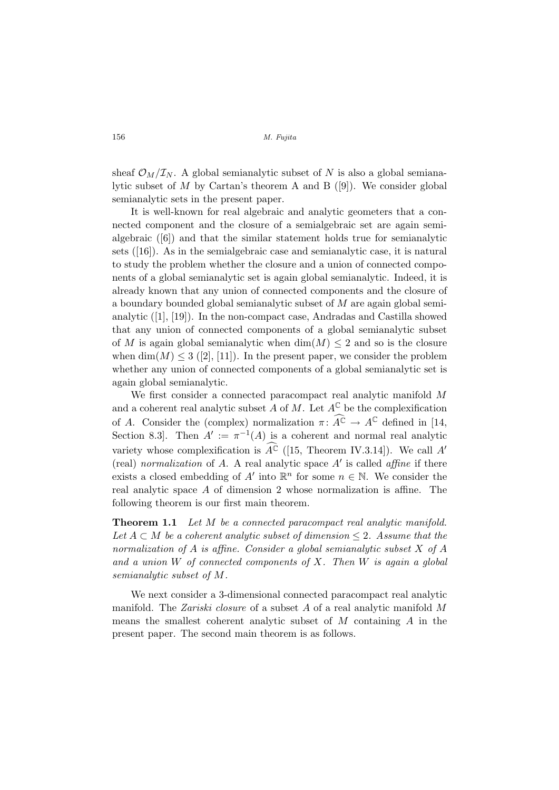sheaf  $\mathcal{O}_M/\mathcal{I}_N$ . A global semianalytic subset of N is also a global semianalytic subset of  $M$  by Cartan's theorem A and B ([9]). We consider global semianalytic sets in the present paper.

It is well-known for real algebraic and analytic geometers that a connected component and the closure of a semialgebraic set are again semialgebraic ([6]) and that the similar statement holds true for semianalytic sets ([16]). As in the semialgebraic case and semianalytic case, it is natural to study the problem whether the closure and a union of connected components of a global semianalytic set is again global semianalytic. Indeed, it is already known that any union of connected components and the closure of a boundary bounded global semianalytic subset of M are again global semianalytic ([1], [19]). In the non-compact case, Andradas and Castilla showed that any union of connected components of a global semianalytic subset of M is again global semianalytic when  $\dim(M) \leq 2$  and so is the closure when  $\dim(M) \leq 3$  ([2], [11]). In the present paper, we consider the problem whether any union of connected components of a global semianalytic set is again global semianalytic.

We first consider a connected paracompact real analytic manifold M and a coherent real analytic subset A of M. Let  $A^{\mathbb{C}}$  be the complexification of A. Consider the (complex) normalization  $\pi \colon \widehat{A}^{\mathbb{C}} \to A^{\mathbb{C}}$  defined in [14, Section 8.3. Then  $A' := \pi^{-1}(A)$  is a coherent and normal real analytic variety whose complexification is  $\widehat{A}^{\mathbb{C}}$  ([15, Theorem IV.3.14]). We call A' (real) normalization of  $A$ . A real analytic space  $A'$  is called affine if there exists a closed embedding of A' into  $\mathbb{R}^n$  for some  $n \in \mathbb{N}$ . We consider the real analytic space  $A$  of dimension 2 whose normalization is affine. The following theorem is our first main theorem.

**Theorem 1.1** Let M be a connected paracompact real analytic manifold. Let  $A \subset M$  be a coherent analytic subset of dimension  $\leq 2$ . Assume that the normalization of A is affine. Consider a global semianalytic subset X of A and a union  $W$  of connected components of  $X$ . Then  $W$  is again a global semianalytic subset of M.

We next consider a 3-dimensional connected paracompact real analytic manifold. The Zariski closure of a subset A of a real analytic manifold M means the smallest coherent analytic subset of  $M$  containing  $\hat{A}$  in the present paper. The second main theorem is as follows.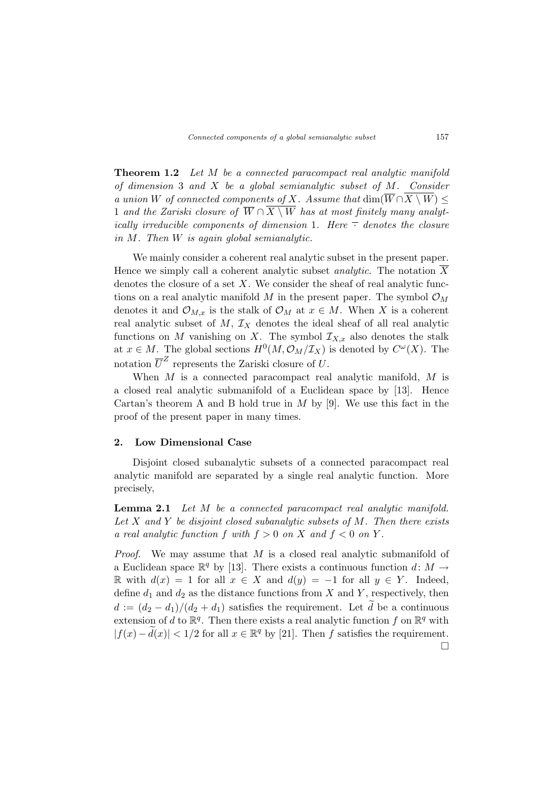**Theorem 1.2** Let M be a connected paracompact real analytic manifold of dimension 3 and  $X$  be a global semianalytic subset of  $M$ . Consider a union W of connected components of X. Assume that  $\dim(\overline{W} \cap \overline{X \setminus W}) \leq$ 1 and the Zariski closure of  $\overline{W} \cap \overline{X \setminus W}$  has at most finitely many analytically irreducible components of dimension 1. Here  $\overline{\cdot}$  denotes the closure in M. Then W is again global semianalytic.

We mainly consider a coherent real analytic subset in the present paper. Hence we simply call a coherent analytic subset *analytic*. The notation  $\overline{X}$ denotes the closure of a set  $X$ . We consider the sheaf of real analytic functions on a real analytic manifold M in the present paper. The symbol  $\mathcal{O}_M$ denotes it and  $\mathcal{O}_{M,x}$  is the stalk of  $\mathcal{O}_M$  at  $x \in M$ . When X is a coherent real analytic subset of  $M$ ,  $\mathcal{I}_X$  denotes the ideal sheaf of all real analytic functions on M vanishing on X. The symbol  $\mathcal{I}_{X,x}$  also denotes the stalk at  $x \in M$ . The global sections  $H^0(M, \mathcal{O}_M/\mathcal{I}_X)$  is denoted by  $C^{\omega}(X)$ . The notation  $\overline{U}^Z$  represents the Zariski closure of U.

When  $M$  is a connected paracompact real analytic manifold,  $M$  is a closed real analytic submanifold of a Euclidean space by [13]. Hence Cartan's theorem A and B hold true in  $M$  by [9]. We use this fact in the proof of the present paper in many times.

## 2. Low Dimensional Case

Disjoint closed subanalytic subsets of a connected paracompact real analytic manifold are separated by a single real analytic function. More precisely,

Lemma 2.1 Let M be a connected paracompact real analytic manifold. Let  $X$  and  $Y$  be disjoint closed subanalytic subsets of  $M$ . Then there exists a real analytic function f with  $f > 0$  on X and  $f < 0$  on Y.

Proof. We may assume that M is a closed real analytic submanifold of a Euclidean space  $\mathbb{R}^q$  by [13]. There exists a continuous function  $d: M \to$ R with  $d(x) = 1$  for all  $x \in X$  and  $d(y) = -1$  for all  $y \in Y$ . Indeed, define  $d_1$  and  $d_2$  as the distance functions from X and Y, respectively, then  $d := (d_2 - d_1)/(d_2 + d_1)$  satisfies the requirement. Let d be a continuous extension of d to  $\mathbb{R}^q$ . Then there exists a real analytic function f on  $\mathbb{R}^q$  with  $|f(x) - \tilde{d}(x)| < 1/2$  for all  $x \in \mathbb{R}^q$  by [21]. Then f satisfies the requirement.  $\Box$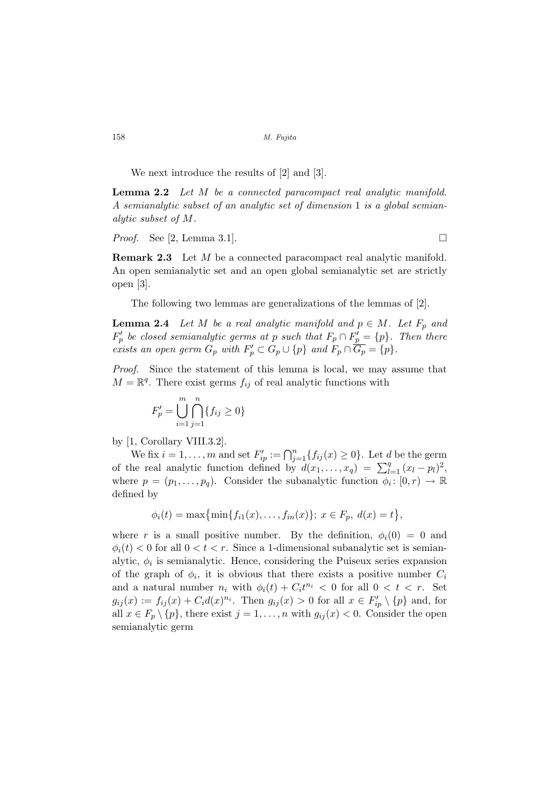We next introduce the results of [2] and [3].

Lemma 2.2 Let M be a connected paracompact real analytic manifold. A semianalytic subset of an analytic set of dimension 1 is a global semianalytic subset of M.

*Proof.* See [2, Lemma 3.1].

**Remark 2.3** Let M be a connected paracompact real analytic manifold. An open semianalytic set and an open global semianalytic set are strictly open [3].

The following two lemmas are generalizations of the lemmas of [2].

**Lemma 2.4** Let M be a real analytic manifold and  $p \in M$ . Let  $F_p$  and  $F'_p$  be closed semianalytic germs at p such that  $F_p \cap F'_p = \{p\}$ . Then there exists an open germ  $G_p$  with  $F'_p \subset G_p \cup \{p\}$  and  $F_p \cap \overline{G_p} = \{p\}.$ 

Proof. Since the statement of this lemma is local, we may assume that  $M = \mathbb{R}^q$ . There exist germs  $f_{ij}$  of real analytic functions with

$$
F'_{p} = \bigcup_{i=1}^{m} \bigcap_{j=1}^{n} \{f_{ij} \ge 0\}
$$

by [1, Corollary VIII.3.2].

We fix  $i = 1, \ldots, m$  and set  $F'_{ip} := \bigcap_{j=1}^{n} \{ f_{ij}(x) \geq 0 \}$ . Let d be the germ of the real analytic function defined by  $d(x_1, ..., x_q) = \sum_{l=1}^q (x_l - p_l)^2$ , where  $p = (p_1, \ldots, p_q)$ . Consider the subanalytic function  $\phi_i : [0, r) \to \mathbb{R}$ defined by

$$
\phi_i(t) = \max\{\min\{f_{i1}(x), \dots, f_{in}(x)\}; x \in F_p, d(x) = t\},\
$$

where r is a small positive number. By the definition,  $\phi_i(0) = 0$  and  $\phi_i(t) < 0$  for all  $0 < t < r$ . Since a 1-dimensional subanalytic set is semianalytic,  $\phi_i$  is semianalytic. Hence, considering the Puiseux series expansion of the graph of  $\phi_i$ , it is obvious that there exists a positive number  $C_i$ and a natural number  $n_i$  with  $\phi_i(t) + C_i t^{n_i} < 0$  for all  $0 < t < r$ . Set  $g_{ij}(x) := f_{ij}(x) + C_i d(x)^{n_i}$ . Then  $g_{ij}(x) > 0$  for all  $x \in F'_{ip} \setminus \{p\}$  and, for all  $x \in F_p \setminus \{p\}$ , there exist  $j = 1, \ldots, n$  with  $g_{ij}(x) < 0$ . Consider the open semianalytic germ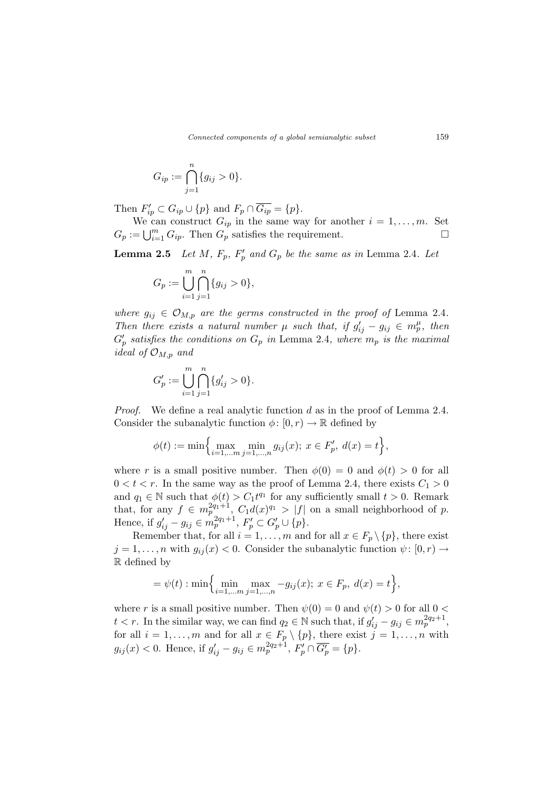$$
G_{ip} := \bigcap_{j=1}^{n} \{g_{ij} > 0\}.
$$

Then  $F'_{ip} \subset G_{ip} \cup \{p\}$  and  $F_p \cap \overline{G_{ip}} = \{p\}.$ 

We can construct  $G_{ip}$  in the same way for another  $i = 1, \ldots, m$ . Set We can construct  $G_{ip}$  in the same way for another  $i = 1, ..., m$ . Set  $G_p := \bigcup_{i=1}^m G_{ip}$ . Then  $G_p$  satisfies the requirement.

**Lemma 2.5** Let M,  $F_p$ ,  $F'_p$  and  $G_p$  be the same as in Lemma 2.4. Let

$$
G_p := \bigcup_{i=1}^m \bigcap_{j=1}^n \{g_{ij} > 0\},\,
$$

where  $g_{ij} \in \mathcal{O}_{M,p}$  are the germs constructed in the proof of Lemma 2.4. Then there exists a natural number  $\mu$  such that, if  $g'_{ij} - g_{ij} \in m_p^{\mu}$ , then  $G_p'$  satisfies the conditions on  $G_p$  in Lemma 2.4, where  $m_p$  is the maximal ideal of  $\mathcal{O}_{M,p}$  and

$$
G_p' := \bigcup_{i=1}^m \bigcap_{j=1}^n \{g'_{ij} > 0\}.
$$

*Proof.* We define a real analytic function d as in the proof of Lemma 2.4. Consider the subanalytic function  $\phi: [0, r) \to \mathbb{R}$  defined by

$$
\phi(t) := \min\Big\{\max_{i=1,\dots,m} \min_{j=1,\dots,n} g_{ij}(x); \ x \in F'_p, \ d(x) = t\Big\},\
$$

where r is a small positive number. Then  $\phi(0) = 0$  and  $\phi(t) > 0$  for all  $0 < t < r$ . In the same way as the proof of Lemma 2.4, there exists  $C_1 > 0$ and  $q_1 \in \mathbb{N}$  such that  $\phi(t) > C_1 t^{q_1}$  for any sufficiently small  $t > 0$ . Remark that, for any  $f \in m_p^{2q_1+1}$ ,  $C_1d(x)^{q_1} > |f|$  on a small neighborhood of p. Hence, if  $g'_{ij} - g_{ij} \in m_p^{2q_1+1}, F'_p \subset G'_p \cup \{p\}.$ 

Remember that, for all  $i = 1, \ldots, m$  and for all  $x \in F_p \setminus \{p\}$ , there exist  $j = 1, \ldots, n$  with  $g_{ij}(x) < 0$ . Consider the subanalytic function  $\psi : [0, r) \rightarrow$ R defined by

$$
= \psi(t) : \min\Biggl\{\min_{i=1,...m} \max_{j=1,...,n} -g_{ij}(x); \ x \in F_p, \ d(x) = t\Biggr\},\
$$

where r is a small positive number. Then  $\psi(0) = 0$  and  $\psi(t) > 0$  for all  $0 <$  $t < r$ . In the similar way, we can find  $q_2 \in \mathbb{N}$  such that, if  $g'_{ij} - g_{ij} \in m_p^{2q_2+1}$ , for all  $i = 1, \ldots, m$  and for all  $x \in F_p \setminus \{p\}$ , there exist  $j = 1, \ldots, n$  with  $g_{ij}(x) < 0$ . Hence, if  $g'_{ij} - g_{ij} \in m_p^{2q_2+1}, F'_p \cap \overline{G'_p} = \{p\}.$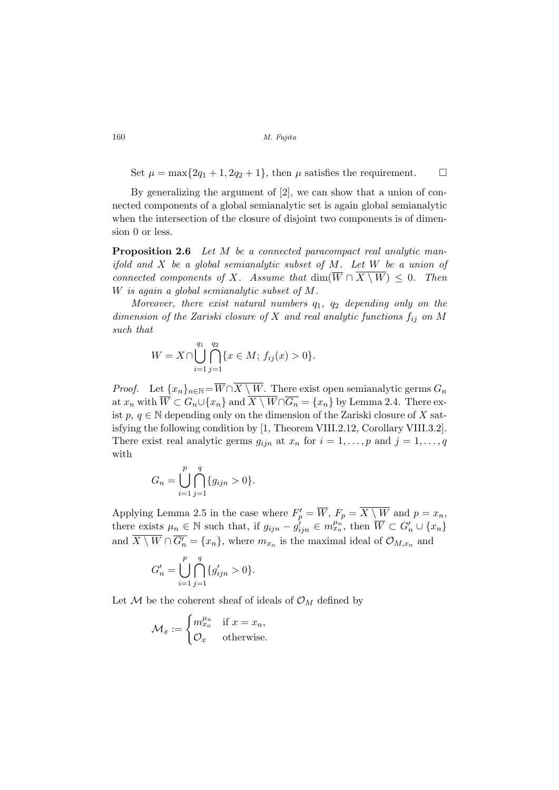Set  $\mu = \max\{2q_1 + 1, 2q_2 + 1\}$ , then  $\mu$  satisfies the requirement.  $\Box$ 

By generalizing the argument of [2], we can show that a union of connected components of a global semianalytic set is again global semianalytic when the intersection of the closure of disjoint two components is of dimension 0 or less.

Proposition 2.6 Let M be a connected paracompact real analytic manifold and  $X$  be a global semianalytic subset of  $M$ . Let  $W$  be a union of connected components of X. Assume that  $\dim(\overline{W} \cap \overline{X \setminus W}) \leq 0$ . Then W is again a global semianalytic subset of M.

Moreover, there exist natural numbers  $q_1$ ,  $q_2$  depending only on the dimension of the Zariski closure of X and real analytic functions  $f_{ij}$  on M such that

$$
W = X \cap \bigcup_{i=1}^{q_1} \bigcap_{j=1}^{q_2} \{x \in M; f_{ij}(x) > 0\}.
$$

*Proof.* Let  $\{x_n\}_{n\in\mathbb{N}} = \overline{W} \cap \overline{X \setminus W}$ . There exist open semianalytic germs  $G_n$ at  $x_n$  with  $\overline{W} \subset G_n \cup \{x_n\}$  and  $\overline{X \setminus W} \cap \overline{G_n} = \{x_n\}$  by Lemma 2.4. There exist  $p, q \in \mathbb{N}$  depending only on the dimension of the Zariski closure of X satisfying the following condition by [1, Theorem VIII.2.12, Corollary VIII.3.2]. There exist real analytic germs  $g_{ijn}$  at  $x_n$  for  $i = 1, \ldots, p$  and  $j = 1, \ldots, q$ with

$$
G_n = \bigcup_{i=1}^p \bigcap_{j=1}^q \{g_{ijn} > 0\}.
$$

Applying Lemma 2.5 in the case where  $F'_p = \overline{W}$ ,  $F_p = \overline{X \setminus W}$  and  $p = x_n$ , there exists  $\mu_n \in \mathbb{N}$  such that, if  $g_{ijn} - g'_{ijn} \in m_{xn}^{\mu_n}$ , then  $\overline{W} \subset G'_n \cup \{x_n\}$ and  $\overline{X \setminus W} \cap \overline{G'_n} = \{x_n\}$ , where  $m_{x_n}$  is the maximal ideal of  $\mathcal{O}_{M,x_n}$  and

$$
G'_{n} = \bigcup_{i=1}^{p} \bigcap_{j=1}^{q} \{g'_{ijn} > 0\}.
$$

Let  $\mathcal M$  be the coherent sheaf of ideals of  $\mathcal O_M$  defined by

$$
\mathcal{M}_x := \begin{cases} m_{x_n}^{\mu_n} & \text{if } x = x_n, \\ \mathcal{O}_x & \text{otherwise.} \end{cases}
$$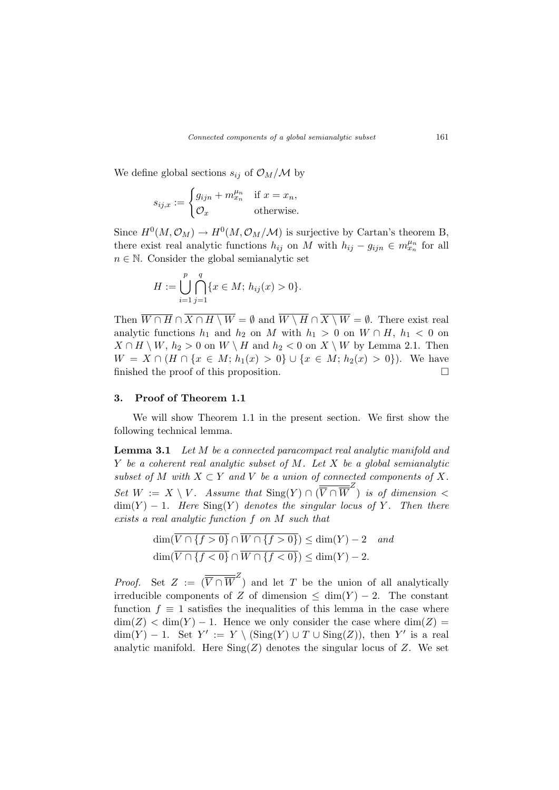We define global sections  $s_{ij}$  of  $\mathcal{O}_M/\mathcal{M}$  by

$$
s_{ij,x} := \begin{cases} g_{ijn} + m_{x_n}^{\mu_n} & \text{if } x = x_n, \\ \mathcal{O}_x & \text{otherwise.} \end{cases}
$$

Since  $H^0(M, \mathcal{O}_M) \to H^0(M, \mathcal{O}_M/M)$  is surjective by Cartan's theorem B, there exist real analytic functions  $h_{ij}$  on M with  $h_{ij} - g_{ijn} \in m_{x_n}^{\mu_n}$  for all  $n \in \mathbb{N}$ . Consider the global semianalytic set

$$
H := \bigcup_{i=1}^{p} \bigcap_{j=1}^{q} \{x \in M; h_{ij}(x) > 0\}.
$$

Then  $\overline{W \cap H} \cap \overline{X \cap H \setminus W} = \emptyset$  and  $\overline{W \setminus H} \cap \overline{X \setminus W} = \emptyset$ . There exist real analytic functions  $h_1$  and  $h_2$  on M with  $h_1 > 0$  on  $W \cap H$ ,  $h_1 < 0$  on  $X \cap H \setminus W$ ,  $h_2 > 0$  on  $W \setminus H$  and  $h_2 < 0$  on  $X \setminus W$  by Lemma 2.1. Then  $W = X \cap (H \cap \{x \in M; h_1(x) > 0\} \cup \{x \in M; h_2(x) > 0\}).$  We have finished the proof of this proposition.  $\Box$ 

## 3. Proof of Theorem 1.1

We will show Theorem 1.1 in the present section. We first show the following technical lemma.

**Lemma 3.1** Let M be a connected paracompact real analytic manifold and  $Y$  be a coherent real analytic subset of  $M$ . Let  $X$  be a global semianalytic subset of M with  $X \subset Y$  and V be a union of connected components of X. Set  $W := X \setminus V$ . Assume that  $\text{Sing}(Y) \cap (\overline{\overline{V} \cap \overline{W}}^Z)$  is of dimension  $\lt$  $\dim(Y) - 1$ . Here  $\text{Sing}(Y)$  denotes the singular locus of Y. Then there exists a real analytic function f on M such that

$$
\dim(\overline{V \cap \{f > 0\}} \cap \overline{W \cap \{f > 0\}}) \le \dim(Y) - 2 \quad and
$$
  

$$
\dim(\overline{V \cap \{f < 0\}} \cap \overline{W \cap \{f < 0\}}) \le \dim(Y) - 2.
$$

*Proof.* Set  $Z := (\overline{\overline{V} \cap \overline{W}}^Z)$  and let T be the union of all analytically irreducible components of Z of dimension  $\leq$  dim(Y) – 2. The constant function  $f \equiv 1$  satisfies the inequalities of this lemma in the case where  $\dim(Z) < \dim(Y) - 1$ . Hence we only consider the case where  $\dim(Z) =$  $\dim(Y) - 1$ . Set  $Y' := Y \setminus (\text{Sing}(Y) \cup T \cup \text{Sing}(Z))$ , then Y' is a real analytic manifold. Here  $\text{Sing}(Z)$  denotes the singular locus of Z. We set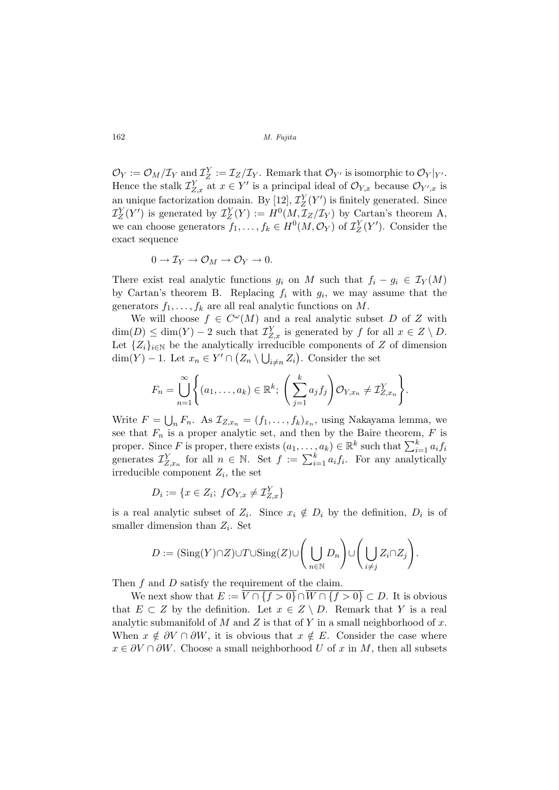$\mathcal{O}_Y := \mathcal{O}_M/\mathcal{I}_Y$  and  $\mathcal{I}_Z^Y := \mathcal{I}_Z/\mathcal{I}_Y$ . Remark that  $\mathcal{O}_{Y'}$  is isomorphic to  $\mathcal{O}_Y|_{Y'}$ . Hence the stalk  $\mathcal{I}_{Z,x}^Y$  at  $x \in Y'$  is a principal ideal of  $\mathcal{O}_{Y,x}$  because  $\mathcal{O}_{Y',x}$  is an unique factorization domain. By [12],  $\mathcal{I}_Z^Y(Y')$  is finitely generated. Since  $\mathcal{I}_Z^Y(Y')$  is generated by  $\mathcal{I}_Z^Y(Y) := H^0(M, \mathcal{I}_Z/\mathcal{I}_Y)$  by Cartan's theorem A, we can choose generators  $f_1, \ldots, f_k \in H^0(M, \mathcal{O}_Y)$  of  $\mathcal{I}_Z^Y(Y')$ . Consider the exact sequence

$$
0 \to \mathcal{I}_Y \to \mathcal{O}_M \to \mathcal{O}_Y \to 0.
$$

There exist real analytic functions  $g_i$  on M such that  $f_i - g_i \in \mathcal{I}_Y(M)$ by Cartan's theorem B. Replacing  $f_i$  with  $g_i$ , we may assume that the generators  $f_1, \ldots, f_k$  are all real analytic functions on M.

We will choose  $f \in C^{\omega}(M)$  and a real analytic subset D of Z with  $\dim(D) \leq \dim(Y) - 2$  such that  $\mathcal{I}_{Z,x}^Y$  is generated by f for all  $x \in Z \setminus D$ . Let  $\{Z_i\}_{i\in\mathbb{N}}$  be the analytically irreducible components of Z of dimension  $\dim(Y) - 1$ . Let  $x_n \in Y' \cap (Z_n \setminus \bigcup_{i \neq n} Z_i)$ . Consider the set

$$
F_n = \bigcup_{n=1}^{\infty} \left\{ (a_1, \dots, a_k) \in \mathbb{R}^k; \left( \sum_{j=1}^k a_j f_j \right) \mathcal{O}_{Y, x_n} \neq \mathcal{I}_{Z, x_n}^Y \right\}.
$$

Write  $F =$  $_n F_n$ . As  $\mathcal{I}_{Z,x_n} = (f_1,\ldots,f_k)_{x_n}$ , using Nakayama lemma, we see that  $F_n$  is a proper analytic set, and then by the Baire theorem,  $F$  is proper. Since F is proper, there exists  $(a_1, \ldots, a_k) \in \mathbb{R}^k$  such that  $\sum_{i=1}^k a_i f_i$ proper. Since  $F$  is proper, there exists  $(a_1, \ldots, a_k) \in \mathbb{R}$  such that  $\sum_{i=1}^{\infty} a_i f_i$  generates  $\mathcal{I}_{Z,x_n}^Y$  for all  $n \in \mathbb{N}$ . Set  $f := \sum_{i=1}^k a_i f_i$ . For any analytically irreducible component  $Z_i$ , the set

$$
D_i := \{ x \in Z_i; \ f\mathcal{O}_{Y,x} \neq \mathcal{I}_{Z,x}^Y \}
$$

is a real analytic subset of  $Z_i$ . Since  $x_i \notin D_i$  by the definition,  $D_i$  is of smaller dimension than  $Z_i$ . Set

$$
D := (\mathrm{Sing}(Y) \cap Z) \cup T \cup \mathrm{Sing}(Z) \cup \left(\bigcup_{n \in \mathbb{N}} D_n\right) \cup \left(\bigcup_{i \neq j} Z_i \cap Z_j\right).
$$

Then  $f$  and  $D$  satisfy the requirement of the claim.

We next show that  $E := \overline{V \cap {f > 0} \cap W \cap {f > 0}} \subset D$ . It is obvious that  $E \subset Z$  by the definition. Let  $x \in Z \setminus D$ . Remark that Y is a real analytic submanifold of M and Z is that of Y in a small neighborhood of x. When  $x \notin \partial V \cap \partial W$ , it is obvious that  $x \notin E$ . Consider the case where  $x \in \partial V \cap \partial W$ . Choose a small neighborhood U of x in M, then all subsets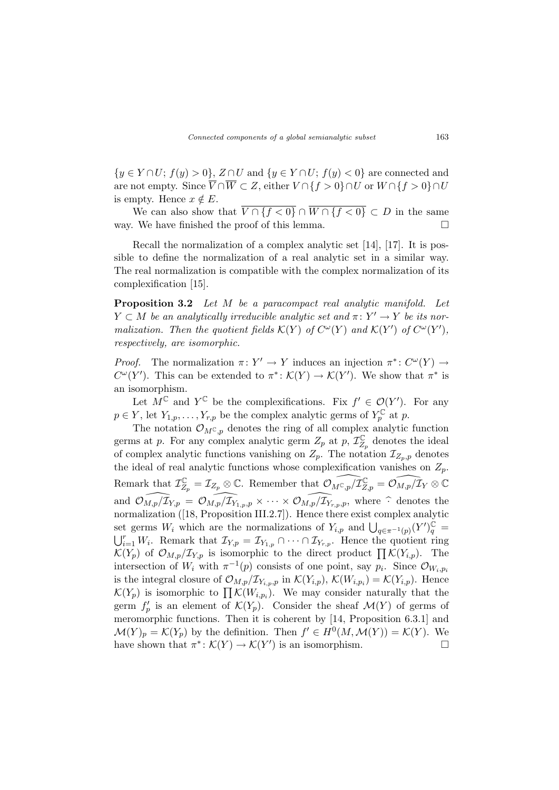$\{y \in Y \cap U; f(y) > 0\}, Z \cap U$  and  $\{y \in Y \cap U; f(y) < 0\}$  are connected and are not empty. Since  $\overline{V} \cap \overline{W} \subset Z$ , either  $V \cap \{f > 0\} \cap U$  or  $W \cap \{f > 0\} \cap U$ is empty. Hence  $x \notin E$ .

We can also show that  $\overline{V \cap \{f < 0\}} \cap \overline{W \cap \{f < 0\}} \subset D$  in the same way. We have finished the proof of this lemma.  $\Box$ 

Recall the normalization of a complex analytic set [14], [17]. It is possible to define the normalization of a real analytic set in a similar way. The real normalization is compatible with the complex normalization of its complexification [15].

Proposition 3.2 Let M be a paracompact real analytic manifold. Let  $Y \subset M$  be an analytically irreducible analytic set and  $\pi: Y' \to Y$  be its normalization. Then the quotient fields  $\mathcal{K}(Y)$  of  $C^{\omega}(Y)$  and  $\mathcal{K}(Y')$  of  $C^{\omega}(Y')$ , respectively, are isomorphic.

*Proof.* The normalization  $\pi: Y' \to Y$  induces an injection  $\pi^*: C^{\omega}(Y) \to$  $C^{\omega}(Y')$ . This can be extended to  $\pi^*: \mathcal{K}(Y) \to \mathcal{K}(Y')$ . We show that  $\pi^*$  is an isomorphism.

Let  $M^{\mathbb{C}}$  and  $Y^{\mathbb{C}}$  be the complexifications. Fix  $f' \in \mathcal{O}(Y')$ . For any  $p \in Y$ , let  $Y_{1,p}, \ldots, Y_{r,p}$  be the complex analytic germs of  $Y_p^{\mathbb{C}}$  at p.

The notation  $\mathcal{O}_{M^{\mathbb{C}},p}$  denotes the ring of all complex analytic function germs at p. For any complex analytic germ  $Z_p$  at p,  $\mathcal{I}_{Z_p}^{\mathbb{C}}$  denotes the ideal of complex analytic functions vanishing on  $Z_p$ . The notation  $\mathcal{I}_{Z_p,p}$  denotes the ideal of real analytic functions whose complexification vanishes on  $Z_p$ . Remark that  $\mathcal{I}_{Z_p}^{\mathbb{C}} = \mathcal{I}_{Z_p} \otimes \mathbb{C}$ . Remember that  $\widehat{\mathcal{O}_{M^{\mathbb{C}},p}/\mathcal{I}_{Z,p}} = \widehat{\mathcal{O}_{M,p}/\mathcal{I}_{Y}} \otimes \mathbb{C}$ and  $\widehat{\mathcal{O}_{M,p}/\mathcal{I}}_{Y,p} = \widehat{\mathcal{O}_{M,p}/\mathcal{I}}_{Y_{1,p},p} \times \cdots \times \widehat{\mathcal{O}_{M,p}/\mathcal{I}}_{Y_{r,p},p}$ , where  $\widehat{\cdot}$  denotes the normalization ([18, Proposition III.2.7]). Hence there exist complex analytic set germs  $W_i$  which are the normalizations of  $Y_{i,p}$  and  $\bigcup_{q \in \pi^{-1}(p)} (Y')_q^{\mathbb{C}} =$  $i=1 \, W_i$ . Remark that  $\mathcal{I}_{Y,p} = \mathcal{I}_{Y_{1,p}} \cap \cdots \cap \mathcal{I}_{Y_{r,p}}$ . Hence the quotient ring  $\mathcal{K}(Y_p)$  of  $\mathcal{O}_{M,p}/\mathcal{I}_{Y,p}$  is isomorphic to the direct product  $\prod \mathcal{K}(Y_{i,p})$ . The intersection of  $W_i$  with  $\pi^{-1}(p)$  consists of one point, say  $p_i$ . Since  $\mathcal{O}_{W_i,p_i}$ is the integral closure of  $\mathcal{O}_{M,p}/\mathcal{I}_{Y_{i,p},p}$  in  $\mathcal{K}(Y_{i,p}), \mathcal{K}(W_{i,p_i}) = \mathcal{K}(Y_{i,p}).$  Hence is the integral closure of  $\mathcal{N}_{M,p}/\mathcal{L}_{Y_{i,p},p}$  in  $\mathcal{N}(Y_{i,p})$ ,  $\mathcal{N}(W_{i,p_i}) - \mathcal{N}(Y_{i,p})$ . Hence  $\mathcal{K}(Y_p)$  is isomorphic to  $\prod \mathcal{K}(W_{i,p_i})$ . We may consider naturally that the germ  $f'_p$  is an element of  $\mathcal{K}(Y_p)$ . Consider the sheaf  $\mathcal{M}(Y)$  of germs of meromorphic functions. Then it is coherent by [14, Proposition 6.3.1] and  $\mathcal{M}(Y)_p = \mathcal{K}(Y_p)$  by the definition. Then  $f' \in H^0(M, \mathcal{M}(Y)) = \mathcal{K}(Y)$ . We have shown that  $\pi^*: \mathcal{K}(Y) \to \mathcal{K}(Y')$  is an isomorphism.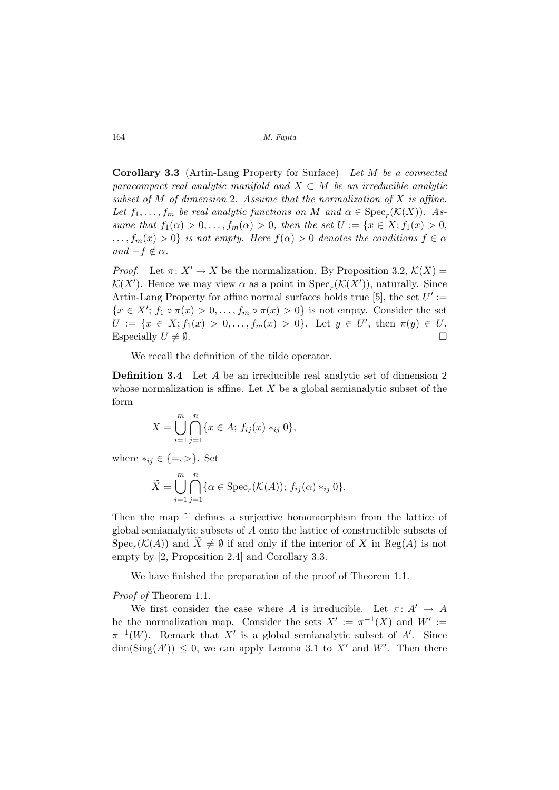Corollary 3.3 (Artin-Lang Property for Surface) Let M be a connected paracompact real analytic manifold and  $X \subset M$  be an irreducible analytic subset of  $M$  of dimension 2. Assume that the normalization of  $X$  is affine. Let  $f_1, \ldots, f_m$  be real analytic functions on M and  $\alpha \in \text{Spec}_r(\mathcal{K}(X))$ . Assume that  $f_1(\alpha) > 0, ..., f_m(\alpha) > 0$ , then the set  $U := \{x \in X; f_1(x) > 0,$  $\ldots, f_m(x) > 0$  is not empty. Here  $f(\alpha) > 0$  denotes the conditions  $f \in \alpha$ and  $-f \notin \alpha$ .

*Proof.* Let  $\pi: X' \to X$  be the normalization. By Proposition 3.2,  $\mathcal{K}(X) =$  $\mathcal{K}(X')$ . Hence we may view  $\alpha$  as a point in  $\text{Spec}_r(\mathcal{K}(X'))$ , naturally. Since Artin-Lang Property for affine normal surfaces holds true [5], the set  $U' :=$  $\{x \in X'; f_1 \circ \pi(x) > 0, \ldots, f_m \circ \pi(x) > 0\}$  is not empty. Consider the set  $U := \{x \in X; f_1(x) > 0, \ldots, f_m(x) > 0\}.$  Let  $y \in U'$ , then  $\pi(y) \in U$ . Especially  $U \neq \emptyset$ .

We recall the definition of the tilde operator.

Definition 3.4 Let A be an irreducible real analytic set of dimension 2 whose normalization is affine. Let  $X$  be a global semianalytic subset of the form

$$
X = \bigcup_{i=1}^{m} \bigcap_{j=1}^{n} \{x \in A; f_{ij}(x) *_{ij} 0\},\
$$

where  $*_i \in \{ =, > \}.$  Set

$$
\widetilde{X} = \bigcup_{i=1}^{m} \bigcap_{j=1}^{n} \{ \alpha \in \text{Spec}_r(\mathcal{K}(A)); f_{ij}(\alpha) *_{ij} 0 \}.
$$

Then the map  $\tilde{\cdot}$  defines a surjective homomorphism from the lattice of global semianalytic subsets of A onto the lattice of constructible subsets of  $Spec_r(\mathcal{K}(A))$  and  $\widetilde{X} \neq \emptyset$  if and only if the interior of X in  $Reg(A)$  is not empty by [2, Proposition 2.4] and Corollary 3.3.

We have finished the preparation of the proof of Theorem 1.1.

# Proof of Theorem 1.1.

We first consider the case where A is irreducible. Let  $\pi: A' \to A$ be the normalization map. Consider the sets  $X' := \pi^{-1}(X)$  and  $W' :=$  $\pi^{-1}(W)$ . Remark that X' is a global semianalytic subset of A'. Since  $\dim(\text{Sing}(A')) \leq 0$ , we can apply Lemma 3.1 to X' and W'. Then there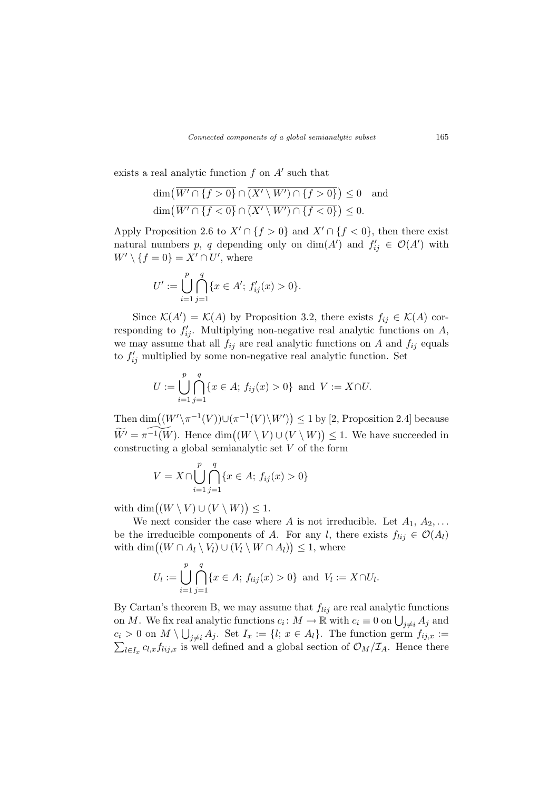exists a real analytic function  $f$  on  $A'$  such that

$$
\dim\left(\overline{W'\cap\{f>0\}}\cap\overline{(X'\setminus W')\cap\{f>0\}}\right)\leq 0 \text{ and}
$$
  

$$
\dim\left(\overline{W'\cap\{f<0\}}\cap\overline{(X'\setminus W')\cap\{f<0\}}\right)\leq 0.
$$

Apply Proposition 2.6 to  $X' \cap \{f > 0\}$  and  $X' \cap \{f < 0\}$ , then there exist natural numbers p, q depending only on  $\dim(A')$  and  $f'_{ij} \in \mathcal{O}(A')$  with  $W' \setminus \{f = 0\} = X' \cap U'$ , where

$$
U' := \bigcup_{i=1}^{p} \bigcap_{j=1}^{q} \{x \in A';\, f'_{ij}(x) > 0\}.
$$

Since  $\mathcal{K}(A') = \mathcal{K}(A)$  by Proposition 3.2, there exists  $f_{ij} \in \mathcal{K}(A)$  corresponding to  $f'_{ij}$ . Multiplying non-negative real analytic functions on A, we may assume that all  $f_{ij}$  are real analytic functions on A and  $f_{ij}$  equals to  $f'_{ij}$  multiplied by some non-negative real analytic function. Set

$$
U := \bigcup_{i=1}^{p} \bigcap_{j=1}^{q} \{x \in A; f_{ij}(x) > 0\} \text{ and } V := X \cap U.
$$

Then dim $((W' \setminus \pi^{-1}(V)) \cup (\pi^{-1}(V) \setminus W')$ ¢  $\leq 1$  by [2, Proposition 2.4] because  $\widetilde{W}' = \pi^{-1}(W)$ . Hence dim $((W \setminus V) \cup (V \setminus W))$ ¢  $\leq$  1. We have succeeded in constructing a global semianalytic set V of the form

$$
V = X \cap \bigcup_{i=1}^{p} \bigcap_{j=1}^{q} \{x \in A; f_{ij}(x) > 0\}
$$

with  $\dim((W \setminus V) \cup (V \setminus W))$ ¢  $\leq 1$ .

We next consider the case where A is not irreducible. Let  $A_1, A_2, \ldots$ be the irreducible components of A. For any l, there exists  $f_{lij} \in \mathcal{O}(A_l)$ be the irreducible components of A. For any i, the with dim $((W \cap A_l \setminus V_l) \cup (V_l \setminus W \cap A_l)) \leq 1$ , where

$$
U_l := \bigcup_{i=1}^p \bigcap_{j=1}^q \{x \in A; f_{lij}(x) > 0\} \text{ and } V_l := X \cap U_l.
$$

By Cartan's theorem B, we may assume that  $f_{lij}$  are real analytic functions by Cartan's theorem B, we may assume that  $J_{ij}$  are real analytic functions<br>on M. We fix real analytic functions  $c_i: M \to \mathbb{R}$  with  $c_i \equiv 0$  on  $\bigcup_{j \neq i} A_j$  and  $c_i > 0$  on  $M \setminus \bigcup_{j \neq i} A_j$ . Set  $I_x := \{l; x \in A_l\}$ . The function germ  $f_{ij,x} :=$  $l\in I_x$   $c_{l,x}f_{lij,x}$  is well defined and a global section of  $\mathcal{O}_M/\mathcal{I}_A$ . Hence there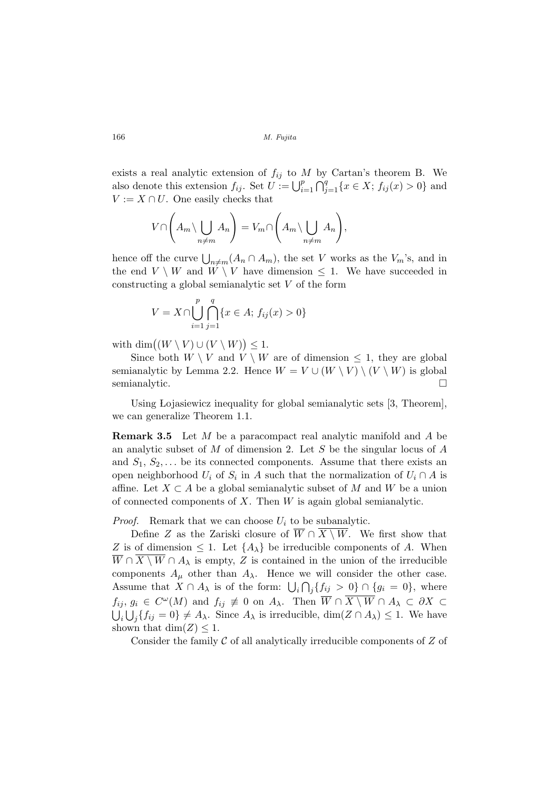exists a real analytic extension of  $f_{ij}$  to M by Cartan's theorem B. We<br>also denote this extension  $f_{ij}$  Set  $H_{ij}$ .  $\Box^p$ ,  $\Box^q$ ,  $\{g \in X, f_{ij}(g) > 0\}$  and also denote this extension  $f_{ij}$ . Set  $U := \bigcup_{i=1}^p \bigcap_{j=1}^q \{x \in X; f_{ij}(x) > 0\}$  and  $V := X \cap U$ . One easily checks that

$$
V \cap \left(A_m \setminus \bigcup_{n \neq m} A_n\right) = V_m \cap \left(A_m \setminus \bigcup_{n \neq m} A_n\right),\,
$$

**100** 

hence off the curve  $\bigcup_{n\neq m}(A_n \cap A_m)$ , the set V works as the  $V_m$ 's, and in the end  $V \setminus W$  and  $W \setminus V$  have dimension  $\leq 1$ . We have succeeded in constructing a global semianalytic set  $V$  of the form

$$
V = X \cap \bigcup_{i=1}^{p} \bigcap_{j=1}^{q} \{x \in A; f_{ij}(x) > 0\}
$$

with  $\dim((W\setminus V)\cup(V\setminus W))$ ¢  $\leq 1$ .

Since both  $W \setminus V$  and  $V \setminus W$  are of dimension  $\leq 1$ , they are global semianalytic by Lemma 2.2. Hence  $W = V \cup (W \setminus V) \setminus (V \setminus W)$  is global semianalytic.  $\Box$ 

Using Lojasiewicz inequality for global semianalytic sets [3, Theorem], we can generalize Theorem 1.1.

Remark 3.5 Let M be a paracompact real analytic manifold and A be an analytic subset of  $M$  of dimension 2. Let  $S$  be the singular locus of  $A$ and  $S_1, S_2, \ldots$  be its connected components. Assume that there exists an open neighborhood  $U_i$  of  $S_i$  in A such that the normalization of  $U_i \cap A$  is affine. Let  $X \subset A$  be a global semianalytic subset of M and W be a union of connected components of  $X$ . Then  $W$  is again global semianalytic.

*Proof.* Remark that we can choose  $U_i$  to be subanalytic.

Define Z as the Zariski closure of  $\overline{W} \cap \overline{X \setminus W}$ . We first show that Z is of dimension  $\leq 1$ . Let  $\{A_{\lambda}\}\$ be irreducible components of A. When  $\overline{W} \cap X \setminus W \cap A_{\lambda}$  is empty, Z is contained in the union of the irreducible components  $A_{\mu}$  other than  $A_{\lambda}$ . Hence we will consider the other case. Components  $A_{\mu}$  other than  $A_{\lambda}$ . Hence we will consider the other case.<br>Assume that  $X \cap A_{\lambda}$  is of the form:  $\bigcup_i \bigcap_j \{f_{ij} > 0\} \cap \{g_i = 0\}$ , where  $f_{ij}, g_i \in C^{\omega}(M)$  and  $f_{ij} \not\equiv 0$  on  $A_{\lambda}$ . Then  $\overline{W} \cap \overline{X \setminus W} \cap A_{\lambda} \subset \partial X \subset$  $i \bigcup_j \{ f_{ij} = 0 \} \neq A_{\lambda}$ . Since  $A_{\lambda}$  is irreducible,  $\dim(Z \cap A_{\lambda}) \leq 1$ . We have shown that  $\dim(Z) \leq 1$ .

Consider the family  $\mathcal C$  of all analytically irreducible components of  $Z$  of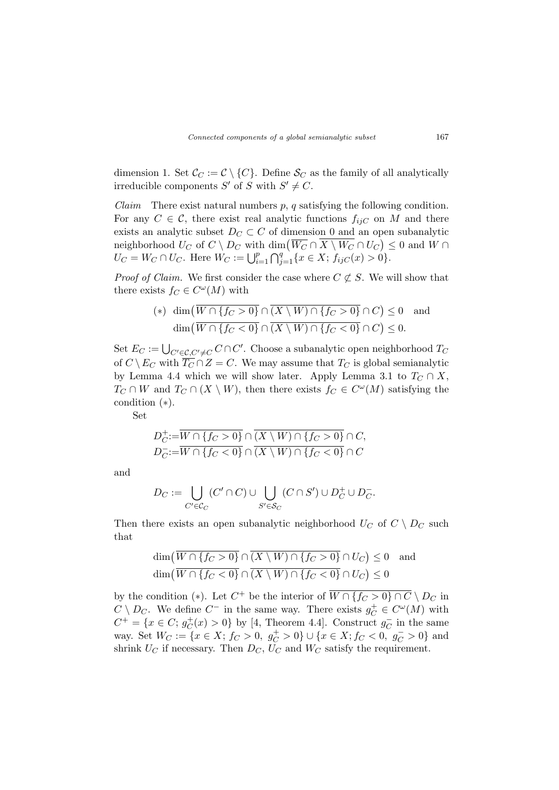dimension 1. Set  $\mathcal{C}_C := \mathcal{C} \setminus \{C\}$ . Define  $\mathcal{S}_C$  as the family of all analytically irreducible components S' of S with  $S' \neq C$ .

*Claim* There exist natural numbers  $p$ ,  $q$  satisfying the following condition. For any  $C \in \mathcal{C}$ , there exist real analytic functions  $f_{ijC}$  on M and there exists an analytic subset  $D_C \subset C$  of dimension 0 and an open subanalytic EXISTS an analytic subset  $D_C \subset C$  of dimension 0 and an open subanalytic neighborhood  $U_C$  of  $C \setminus D_C$  with dim $(\overline{W_C} \cap \overline{X} \setminus W_C \cap U_C) \leq 0$  and  $W \cap$  $U_C = W_C \cap U_C$ . Here  $W_C := \bigcup_{i=1}^p$  $\frac{1}{\sqrt{q}}$  $_{j=1}^{q}$ { $x \in X$ ;  $f_{ijC}(x) > 0$ }.

*Proof of Claim.* We first consider the case where  $C \not\subset S$ . We will show that there exists  $f_C \in C^{\omega}(M)$  with

$$
(*) \dim(\overline{W \cap \{f_C > 0\}} \cap \overline{(X \setminus W) \cap \{f_C > 0\}} \cap C) \le 0 \text{ and}
$$

$$
\dim(\overline{W \cap \{f_C < 0\}} \cap \overline{(X \setminus W) \cap \{f_C < 0\}} \cap C) \le 0.
$$

Set  $E_C := \bigcup_{C' \in \mathcal{C}, C' \neq C} C \cap C'$ . Choose a subanalytic open neighborhood  $T_C$ of  $C \setminus E_C$  with  $\overline{T_C} \cap Z = C$ . We may assume that  $T_C$  is global semianalytic by Lemma 4.4 which we will show later. Apply Lemma 3.1 to  $T_C \cap X$ ,  $T_C \cap W$  and  $T_C \cap (X \setminus W)$ , then there exists  $f_C \in C^{\omega}(M)$  satisfying the condition (∗).

Set

$$
D_C^+:=\overline{W\cap\{f_C>0\}}\cap\overline{(X\setminus W)\cap\{f_C>0\}}\cap C,
$$
  

$$
D_C^-:=\overline{W\cap\{f_C<0\}}\cap\overline{(X\setminus W)\cap\{f_C<0\}}\cap C
$$

and

$$
D_C := \bigcup_{C' \in \mathcal{C}_C} (C' \cap C) \cup \bigcup_{S' \in \mathcal{S}_C} (C \cap S') \cup D_C^+ \cup D_C^-.
$$

Then there exists an open subanalytic neighborhood  $U_C$  of  $C \setminus D_C$  such that

$$
\dim(\overline{W \cap \{f_C > 0\}} \cap \overline{(X \setminus W) \cap \{f_C > 0\}} \cap U_C) \le 0 \text{ and}
$$
  

$$
\dim(\overline{W \cap \{f_C < 0\}} \cap \overline{(X \setminus W) \cap \{f_C < 0\}} \cap U_C) \le 0
$$

by the condition (\*). Let  $C^+$  be the interior of  $\overline{W \cap {\lbrace f_C > 0 \rbrace \cap C}} \setminus D_C$  in  $C \setminus D_C$ . We define  $C^-$  in the same way. There exists  $g_C^+ \in C^{\omega}(M)$  with  $C^+ = \{x \in C; g_C^+$  $_C^+(x) > 0$  by [4, Theorem 4.4]. Construct  $g_C^ \bar{C}$  in the same way. Set  $W_C := \{x \in X; f_C > 0, g_C^+ > 0\} \cup \{x \in X; f_C < 0, g_C^- > 0\}$  and shrink  $U_C$  if necessary. Then  $D_C$ ,  $U_C$  and  $W_C$  satisfy the requirement.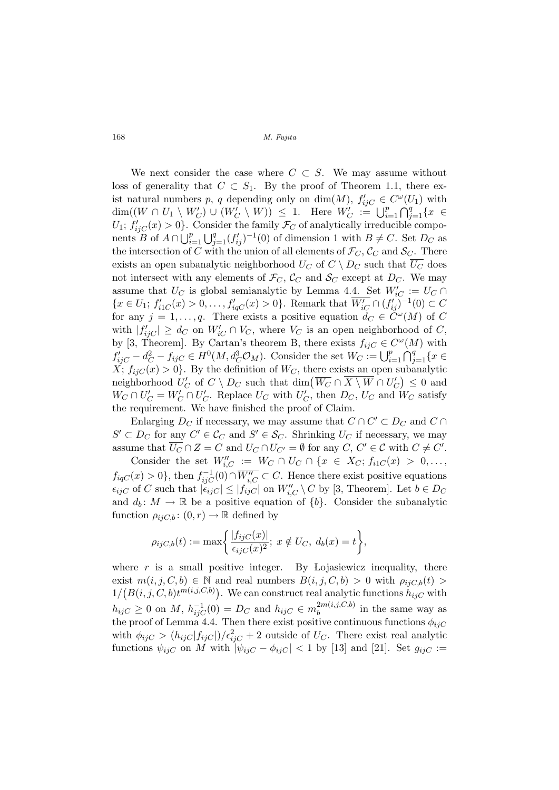We next consider the case where  $C \subset S$ . We may assume without loss of generality that  $C \subset S_1$ . By the proof of Theorem 1.1, there exist natural numbers p, q depending only on  $\dim(M)$ ,  $f'_{ijC} \in C^{\omega}(U_1)$  with dim( $(W \cap U_1 \setminus W'_C) \cup (W'_C \setminus W) \leq 1$ . Here  $W'_C := \bigcup_{i=1}^p$  $\tilde{\Omega}$  ${}_{j=1}^q \{x \in$  $U_1$ ;  $f'_{ijC}(x) > 0$ . Consider the family  $\mathcal{F}_C$  of analytically irreducible compo-<br>panta  $B$  of  $A \cap \mathbb{F}^p \to \mathbb{F}^q$  ( $f' \to \pm(0)$  of dimension l with  $B \neq C$ . Set  $D$  and nents B of  $A \cap \bigcup_{i=1}^p \bigcup_{j=1}^q (f'_{ij})^{-1}(0)$  of dimension 1 with  $B \neq C$ . Set  $D_C$  as the intersection of C with the union of all elements of  $\mathcal{F}_C$ ,  $\mathcal{C}_C$  and  $\mathcal{S}_C$ . There exists an open subanalytic neighborhood  $U_C$  of  $C \setminus D_C$  such that  $\overline{U_C}$  does not intersect with any elements of  $\mathcal{F}_C$ ,  $\mathcal{C}_C$  and  $\mathcal{S}_C$  except at  $D_C$ . We may assume that  $U_C$  is global semianalytic by Lemma 4.4. Set  $W'_{iC} := U_C \cap$  $\{x \in U_1; f'_{i1C}(x) > 0, \ldots, f'_{iqC}(x) > 0\}$ . Remark that  $\overline{W'_{iC}} \cap (f'_{ij})^{-1}(0) \subset C$ for any  $j = 1, \ldots, q$ . There exists a positive equation  $d_C \in C^{\omega}(M)$  of C with  $|f'_{ijC}| \geq d_C$  on  $W'_{iC} \cap V_C$ , where  $V_C$  is an open neighborhood of C, by [3, Theorem]. By Cartan's theorem B, there exists  $f_{ijC} \in C^{\omega}(M)$  with by [b, Theorem]. By Cartan's theorem B, there exists  $f_{ijC} \in C$ <br>  $f'_{ijC} - d_C^2 - f_{ijC} \in H^0(M, d_C^3 \mathcal{O}_M)$ . Consider the set  $W_C := \bigcup_{i=1}^p$  $\tilde{C}^{\mu}$  ${}_{j=1}^{q}$ { $x \in$  $X; f_{ijC}(x) > 0$ . By the definition of  $W_C$ , there exists an open subanalytic A;  $j_{ij}C(x) > 0$ . By the definition of  $W_C$ , there exists an open subanarytic<br>neighborhood  $U_C'$  of  $C \setminus D_C$  such that  $\dim(\overline{W_C} \cap \overline{X \setminus W} \cap U_C') \leq 0$  and  $W_C \cap U_C' = W_C' \cap U_C'$ . Replace  $U_C$  with  $U_C'$ , then  $D_C$ ,  $U_C$  and  $W_C$  satisfy the requirement. We have finished the proof of Claim.

Enlarging  $D_C$  if necessary, we may assume that  $C \cap C' \subset D_C$  and  $C \cap C'$  $S' \subset D_C$  for any  $C' \in \mathcal{C}_C$  and  $S' \in \mathcal{S}_C$ . Shrinking  $U_C$  if necessary, we may assume that  $\overline{U_C} \cap Z = C$  and  $U_C \cap U_{C'} = \emptyset$  for any  $C, C' \in \mathcal{C}$  with  $C \neq C'$ .

Consider the set  $W''_{i,C} := W_C \cap U_C \cap \{x \in X_C; f_{iC}(x) > 0, \ldots, \}$  $f_{iqC}(x) > 0$ , then  $f_{ijC}^{-1}(0) \cap \overline{W''_{i,C}} \subset C$ . Hence there exist positive equations  $\epsilon_{ijC}$  of C such that  $|\epsilon_{ijC}| \leq |f_{ijC}|$  on  $W''_{i,C} \setminus C$  by [3, Theorem]. Let  $b \in D_C$ and  $d_b: M \to \mathbb{R}$  be a positive equation of  $\{b\}$ . Consider the subanalytic function  $\rho_{ijC,b}$ :  $(0,r) \to \mathbb{R}$  defined by

$$
\rho_{ijC,b}(t) := \max \bigg\{ \frac{|f_{ijC}(x)|}{\epsilon_{ijC}(x)^2}; \ x \notin U_C, \ d_b(x) = t \bigg\},\
$$

where  $r$  is a small positive integer. By Lojasiewicz inequality, there exist  $m(i, j, C, b) \in \mathbb{N}$  and real numbers  $B(i, j, C, b) > 0$  with  $\rho_{ijC,b}(t) >$  $1/(B(i, j, C, b)t^{m(i, j, C, b)})$ . We can construct real analytic functions  $h_{ijC}$  with  $h_{ijC} \ge 0$  on M,  $h_{ijC}^{-1}(0) = D_C$  and  $h_{ijC} \in m_b^{2m(i,j,C,b)}$  $b^{2m(i,j,\mathcal{C},b)}$  in the same way as the proof of Lemma 4.4. Then there exist positive continuous functions  $\phi_{ijC}$ with  $\phi_{ijC} > (h_{ijC}|f_{ijC}|)/\epsilon_{ijC}^2 + 2$  outside of  $U_C$ . There exist real analytic functions  $\psi_{ijC}$  on M with  $|\psi_{ijC} - \phi_{ijC}| < 1$  by [13] and [21]. Set  $g_{ijC} :=$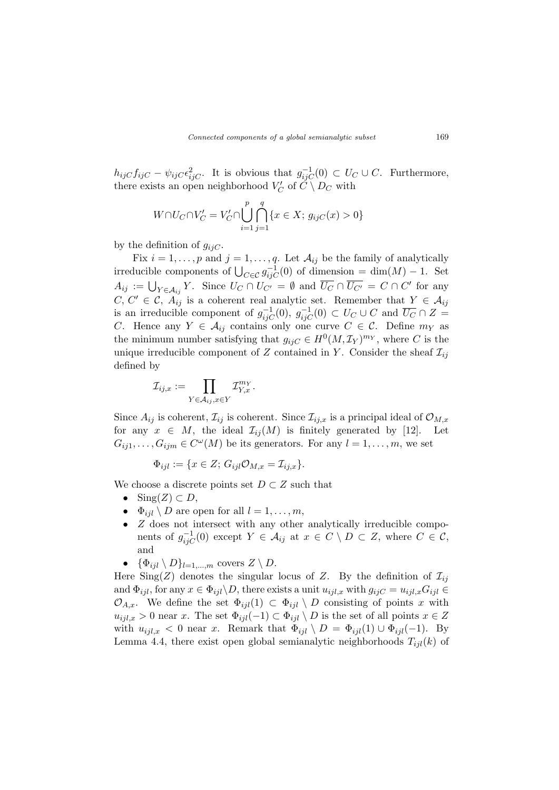$h_{ijC}f_{ijC} - \psi_{ijC}\epsilon_{ijC}^2$ . It is obvious that  $g_{ijC}^{-1}(0) \subset U_C \cup C$ . Furthermore, there exists an open neighborhood  $V_C'$  of  $\check{C} \setminus D_C$  with

$$
W \cap U_C \cap V'_C = V'_C \cap \bigcup_{i=1}^p \bigcap_{j=1}^q \{x \in X; g_{ijC}(x) > 0\}
$$

by the definition of  $g_{ijC}$ .

Fix  $i = 1, \ldots, p$  and  $j = 1, \ldots, q$ . Let  $\mathcal{A}_{ij}$  be the family of analytically irreducible components of  $\bigcup_{C \in \mathcal{C}} g_{ijC}^{-1}(0)$  of dimension = dim(M) – 1. Set  $A_{ij} := \bigcup_{Y \in \mathcal{A}_{ij}} Y$ . Since  $U_C \cap U_{C'} = \emptyset$  and  $\overline{U_C} \cap \overline{U_{C'}} = C \cap C'$  for any  $C, C' \in \mathcal{C}, A_{ij}$  is a coherent real analytic set. Remember that  $Y \in \mathcal{A}_{ij}$ is an irreducible component of  $g_{ijC}^{-1}(0), g_{ijC}^{-1}(0) \subset U_C \cup C$  and  $\overline{U_C} \cap Z =$ C. Hence any  $Y \in \mathcal{A}_{ij}$  contains only one curve  $C \in \mathcal{C}$ . Define  $m_Y$  as the minimum number satisfying that  $g_{ijC} \in H^0(M, \mathcal{I}_Y)^{m_Y}$ , where C is the unique irreducible component of Z contained in Y. Consider the sheaf  $\mathcal{I}_{ij}$ defined by

$$
\mathcal{I}_{ij,x} := \prod_{Y \in \mathcal{A}_{ij}, x \in Y} \mathcal{I}_{Y,x}^{m_Y}.
$$

Since  $A_{ij}$  is coherent,  $\mathcal{I}_{ij}$  is coherent. Since  $\mathcal{I}_{ij,x}$  is a principal ideal of  $\mathcal{O}_{M,x}$ for any  $x \in M$ , the ideal  $\mathcal{I}_{ij}(M)$  is finitely generated by [12]. Let  $G_{ij1}, \ldots, G_{ijm} \in C^{\omega}(M)$  be its generators. For any  $l = 1, \ldots, m$ , we set

$$
\Phi_{ijl} := \{ x \in Z; G_{ijl} \mathcal{O}_{M,x} = \mathcal{I}_{ij,x} \}.
$$

We choose a discrete points set  $D \subset Z$  such that

- Sing $(Z) \subset D$ ,
- $\Phi_{iil} \setminus D$  are open for all  $l = 1, \ldots, m$ ,
- Z does not intersect with any other analytically irreducible components of  $g_{ijC}^{-1}(0)$  except  $Y \in \mathcal{A}_{ij}$  at  $x \in C \setminus D \subset Z$ , where  $C \in \mathcal{C}$ , and
- $\{\Phi_{ijl} \setminus D\}_{l=1,\dots,m}$  covers  $Z \setminus D$ .

Here Sing(Z) denotes the singular locus of Z. By the definition of  $\mathcal{I}_{ij}$ and  $\Phi_{ijl}$ , for any  $x \in \Phi_{ijl} \backslash D$ , there exists a unit  $u_{ijl,x}$  with  $g_{ijC} = u_{ijl,x} G_{ijl} \in$  $\mathcal{O}_{A,x}$ . We define the set  $\Phi_{ijl}(1) \subset \Phi_{ijl} \setminus D$  consisting of points x with  $u_{ijl,x} > 0$  near x. The set  $\Phi_{ijl}(-1) \subset \Phi_{ijl} \setminus D$  is the set of all points  $x \in Z$ with  $u_{ijl,x} < 0$  near x. Remark that  $\Phi_{ijl} \setminus D = \Phi_{ijl}(1) \cup \Phi_{ijl}(-1)$ . By Lemma 4.4, there exist open global semianalytic neighborhoods  $T_{ijl}(k)$  of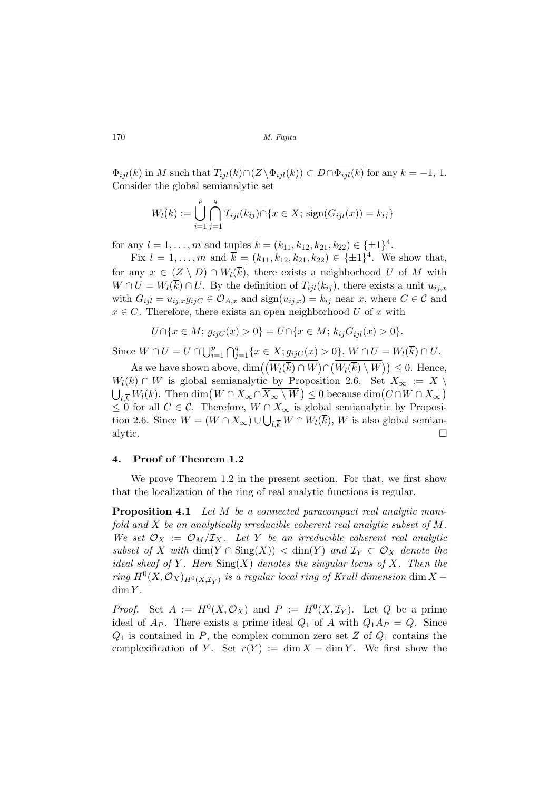$\Phi_{ijl}(k)$  in M such that  $\overline{T_{ijl}(k)} \cap (Z \setminus \Phi_{ijl}(k)) \subset D \cap \overline{\Phi_{ijl}(k)}$  for any  $k = -1, 1$ . Consider the global semianalytic set

$$
W_l(\overline{k}) := \bigcup_{i=1}^p \bigcap_{j=1}^q T_{ijl}(k_{ij}) \cap \{x \in X; \text{sign}(G_{ijl}(x)) = k_{ij}\}\
$$

for any  $l = 1, ..., m$  and tuples  $\overline{k} = (k_{11}, k_{12}, k_{21}, k_{22}) \in {\pm 1}^4$ .

Fix  $l = 1, ..., m$  and  $\overline{k} = (k_{11}, k_{12}, k_{21}, k_{22}) \in {\pm 1}^4$ . We show that, for any  $x \in (Z \setminus D) \cap W_l(\overline{k})$ , there exists a neighborhood U of M with  $W \cap U = W_l(\overline{k}) \cap U$ . By the definition of  $T_{ijl}(k_{ij})$ , there exists a unit  $u_{ij,x}$ with  $G_{ijl} = u_{ij,x}g_{ijC} \in \mathcal{O}_{A,x}$  and  $sign(u_{ij,x}) = k_{ij}$  near x, where  $C \in \mathcal{C}$  and  $x \in C$ . Therefore, there exists an open neighborhood U of x with

$$
U \cap \{x \in M; g_{ijC}(x) > 0\} = U \cap \{x \in M; k_{ij}G_{ijl}(x) > 0\}.
$$

Since  $W \cap U = U \cap \bigcup_{i=1}^{p} V_i$  $i=1$  $\bigcap_{\alpha}$  $_{j=1}^{q}$ { $x \in X; g_{ijC}(x) > 0$ },  $W \cap U = W_{l}(\overline{k}) \cap U$ . ¡

As we have shown above, dim $\left(\left(\overline{W_l(\overline{k})} \cap \overline{W}\right)\right)$ ∩  $\frac{W_l(\overline{k}) \setminus W}{W_l(\overline{k}) \setminus W}$   $\leq 0$ . Hence,  $W_l(\overline{k}) \cap W$  is global semianalytic by Proposition 2.6. Set  $X_\infty := X \setminus$  $W_l(\kappa)$  if W is global semianalytic by Fi<br> $\bigcup_{l,\overline{k}} W_l(\overline{k})$ . Then  $\dim(\overline{W \cap X_\infty} \cap \overline{X_\infty \setminus W})$  $\phi$  oposition 2.0. Set  $A_{\infty} := A$ <br>  $\phi$  = 0 because dim $\left(C \cap \overline{W} \cap X_{\infty}\right)$  $\checkmark$  $\leq 0$  for all  $C \in \mathcal{C}$ . Therefore,  $W \cap X_{\infty}$  is global semianalytic by Proposition 2.6. Since  $W = (W \cap X_{\infty}) \cup \bigcup_{l,\overline{k}} W \cap W_l(k)$ , W is also global semianalytic.  $\Box$ 

# 4. Proof of Theorem 1.2

We prove Theorem 1.2 in the present section. For that, we first show that the localization of the ring of real analytic functions is regular.

Proposition 4.1 Let M be a connected paracompact real analytic manifold and X be an analytically irreducible coherent real analytic subset of M. We set  $\mathcal{O}_X := \mathcal{O}_M/\mathcal{I}_X$ . Let Y be an irreducible coherent real analytic subset of X with dim(Y ∩ Sing(X)) < dim(Y) and  $\mathcal{I}_Y \subset \mathcal{O}_X$  denote the ideal sheaf of Y. Here  $\text{Sing}(X)$  denotes the singular locus of X. Then the ring  $H^0(X,\mathcal{O}_X)_{H^0(X,\mathcal{I}_Y)}$  is a regular local ring of Krull dimension dim X –  $dim Y$ .

*Proof.* Set  $A := H^0(X, \mathcal{O}_X)$  and  $P := H^0(X, \mathcal{I}_Y)$ . Let Q be a prime ideal of  $A_P$ . There exists a prime ideal  $Q_1$  of A with  $Q_1A_P = Q$ . Since  $Q_1$  is contained in P, the complex common zero set Z of  $Q_1$  contains the complexification of Y. Set  $r(Y) := \dim X - \dim Y$ . We first show the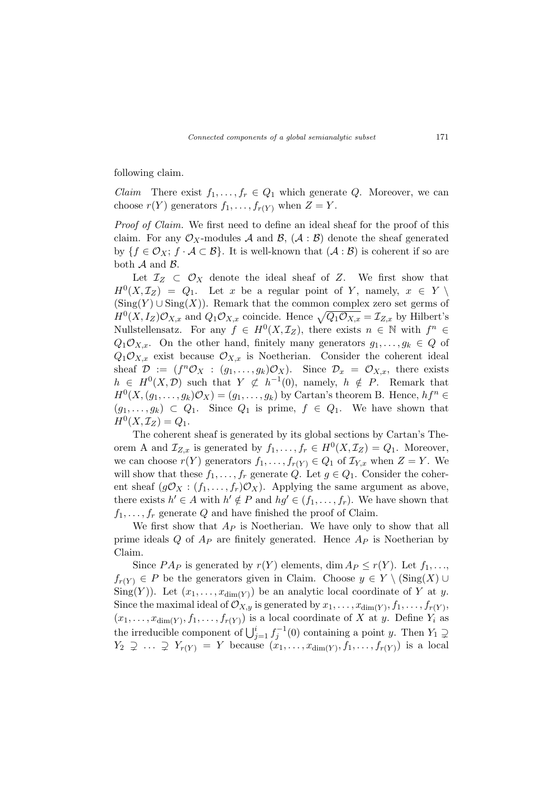following claim.

*Claim* There exist  $f_1, \ldots, f_r \in Q_1$  which generate Q. Moreover, we can choose  $r(Y)$  generators  $f_1, \ldots, f_{r(Y)}$  when  $Z = Y$ .

Proof of Claim. We first need to define an ideal sheaf for the proof of this claim. For any  $\mathcal{O}_X$ -modules A and B,  $(\mathcal{A} : \mathcal{B})$  denote the sheaf generated by  $\{f \in \mathcal{O}_X; f \cdot \mathcal{A} \subset \mathcal{B}\}\$ . It is well-known that  $(\mathcal{A} : \mathcal{B})$  is coherent if so are both  $A$  and  $B$ .

Let  $\mathcal{I}_Z \subset \mathcal{O}_X$  denote the ideal sheaf of Z. We first show that  $H^0(X, \mathcal{I}_Z) = Q_1$ . Let x be a regular point of Y, namely,  $x \in Y \setminus$  $(Sing(Y) \cup Sing(X))$ . Remark that the common complex zero set germs of  $H^0(X, I_Z)\mathcal{O}_{X,x}$  and  $Q_1\mathcal{O}_{X,x}$  coincide. Hence  $\sqrt{Q_1\mathcal{O}_{X,x}} = \mathcal{I}_{Z,x}$  by Hilbert's Nullstellensatz. For any  $f \in H^0(X, \mathcal{I}_Z)$ , there exists  $n \in \mathbb{N}$  with  $f^n \in$  $Q_1\mathcal{O}_{X,x}$ . On the other hand, finitely many generators  $g_1,\ldots,g_k\in Q$  of  $Q_1\mathcal{O}_{X,x}$  exist because  $\mathcal{O}_{X,x}$  is Noetherian. Consider the coherent ideal sheaf  $\mathcal{D} := (f^n \mathcal{O}_X : (g_1, \ldots, g_k) \mathcal{O}_X)$ . Since  $\mathcal{D}_x = \mathcal{O}_{X,x}$ , there exists  $h \in H^{0}(X,\mathcal{D})$  such that  $Y \not\subset h^{-1}(0)$ , namely,  $h \notin P$ . Remark that  $H^0(X, (g_1, \ldots, g_k)\mathcal{O}_X) = (g_1, \ldots, g_k)$  by Cartan's theorem B. Hence,  $hf^n \in$  $(g_1, \ldots, g_k) \subset Q_1$ . Since  $Q_1$  is prime,  $f \in Q_1$ . We have shown that  $H^{0}(X, \mathcal{I}_{Z}) = Q_{1}.$ 

The coherent sheaf is generated by its global sections by Cartan's Theorem A and  $\mathcal{I}_{Z,x}$  is generated by  $f_1,\ldots,f_r \in H^0(X,\mathcal{I}_Z)=Q_1$ . Moreover, we can choose  $r(Y)$  generators  $f_1, \ldots, f_{r(Y)} \in Q_1$  of  $\mathcal{I}_{Y,x}$  when  $Z = Y$ . We will show that these  $f_1, \ldots, f_r$  generate Q. Let  $g \in Q_1$ . Consider the coherent sheaf  $(g\mathcal{O}_X : (f_1, \ldots, f_r)\mathcal{O}_X)$ . Applying the same argument as above, there exists  $h' \in A$  with  $h' \notin P$  and  $hg' \in (f_1, \ldots, f_r)$ . We have shown that  $f_1, \ldots, f_r$  generate Q and have finished the proof of Claim.

We first show that  $Ap$  is Noetherian. We have only to show that all prime ideals  $Q$  of  $A_P$  are finitely generated. Hence  $A_P$  is Noetherian by Claim.

Since  $PA_P$  is generated by  $r(Y)$  elements, dim  $A_P \leq r(Y)$ . Let  $f_1, \ldots,$  $f_{r(Y)} \in P$  be the generators given in Claim. Choose  $y \in Y \setminus (\text{Sing}(X) \cup$ Sing(Y)). Let  $(x_1, \ldots, x_{\dim(Y)})$  be an analytic local coordinate of Y at y. Since the maximal ideal of  $\mathcal{O}_{X,y}$  is generated by  $x_1, \ldots, x_{\dim(Y)}, f_1, \ldots, f_{r(Y)},$  $(x_1, \ldots, x_{\dim(Y)}, f_1, \ldots, f_{r(Y)})$  is a local coordinate of X at y. Define  $Y_i$  as the irreducible component of  $\bigcup_{j=1}^{i} f_j^{-1}(0)$  containing a point y. Then  $Y_1 \supsetneq$  $Y_2 \supsetneq \ldots \supsetneq Y_{r(Y)} = Y$  because  $(x_1, \ldots, x_{\dim(Y)}, f_1, \ldots, f_{r(Y)})$  is a local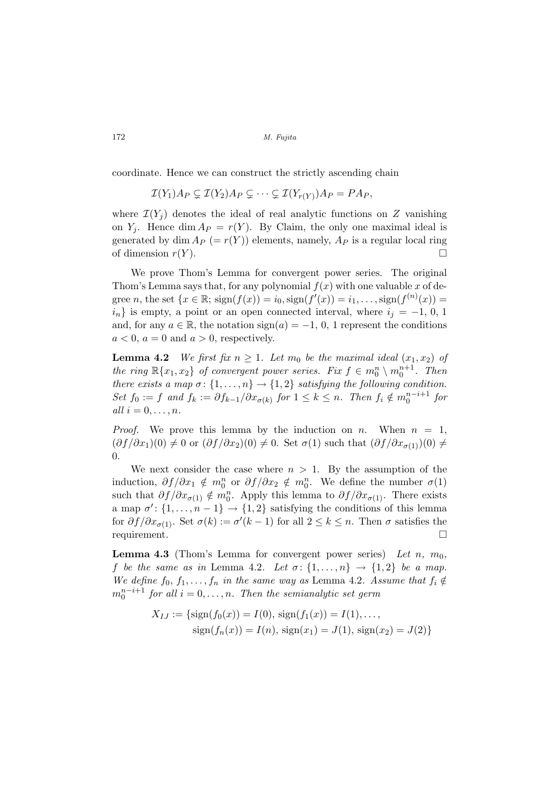coordinate. Hence we can construct the strictly ascending chain

$$
\mathcal{I}(Y_1)A_P \subsetneq \mathcal{I}(Y_2)A_P \subsetneq \cdots \subsetneq \mathcal{I}(Y_{r(Y)})A_P = PA_P,
$$

where  $\mathcal{I}(Y_i)$  denotes the ideal of real analytic functions on Z vanishing on  $Y_i$ . Hence dim  $A_P = r(Y)$ . By Claim, the only one maximal ideal is generated by dim  $A_P$  (=  $r(Y)$ ) elements, namely,  $A_P$  is a regular local ring of dimension  $r(Y)$ .

We prove Thom's Lemma for convergent power series. The original Thom's Lemma says that, for any polynomial  $f(x)$  with one valuable x of degree *n*, the set  $\{x \in \mathbb{R}; \, \text{sign}(f(x)) = i_0, \text{sign}(f'(x)) = i_1, \ldots, \text{sign}(f^{(n)}(x)) = i_1, \ldots, i_m\}$  $i_n$ } is empty, a point or an open connected interval, where  $i_j = -1, 0, 1$ and, for any  $a \in \mathbb{R}$ , the notation  $sign(a) = -1, 0, 1$  represent the conditions  $a < 0$ ,  $a = 0$  and  $a > 0$ , respectively.

**Lemma 4.2** We first fix  $n \geq 1$ . Let  $m_0$  be the maximal ideal  $(x_1, x_2)$  of the ring  $\mathbb{R}\{x_1, x_2\}$  of convergent power series. Fix  $f \in m_0^n \setminus m_0^{n+1}$ . Then there exists a map  $\sigma: \{1, \ldots, n\} \to \{1, 2\}$  satisfying the following condition. Set  $f_0 := f$  and  $f_k := \partial f_{k-1}/\partial x_{\sigma(k)}$  for  $1 \leq k \leq n$ . Then  $f_i \notin m_0^{n-i+1}$  for all  $i = 0, \ldots, n$ .

*Proof.* We prove this lemma by the induction on n. When  $n = 1$ ,  $(\partial f/\partial x_1)(0) \neq 0$  or  $(\partial f/\partial x_2)(0) \neq 0$ . Set  $\sigma(1)$  such that  $(\partial f/\partial x_{\sigma(1)})(0) \neq 0$ 0.

We next consider the case where  $n > 1$ . By the assumption of the induction,  $\partial f/\partial x_1 \notin m_0^n$  or  $\partial f/\partial x_2 \notin m_0^n$ . We define the number  $\sigma(1)$ such that  $\partial f/\partial x_{\sigma(1)} \notin m_0^n$ . Apply this lemma to  $\partial f/\partial x_{\sigma(1)}$ . There exists a map  $\sigma'$ :  $\{1, \ldots, n-1\} \rightarrow \{1, 2\}$  satisfying the conditions of this lemma for  $\partial f/\partial x_{\sigma(1)}$ . Set  $\sigma(k) := \sigma'(k-1)$  for all  $2 \leq k \leq n$ . Then  $\sigma$  satisfies the requirement.

**Lemma 4.3** (Thom's Lemma for convergent power series) Let n,  $m_0$ , f be the same as in Lemma 4.2. Let  $\sigma: \{1, \ldots, n\} \rightarrow \{1, 2\}$  be a map. We define  $f_0, f_1, \ldots, f_n$  in the same way as Lemma 4.2. Assume that  $f_i \notin$  $m_0^{n-i+1}$  for all  $i = 0, \ldots, n$ . Then the semianalytic set germ

$$
X_{IJ} := \{ \text{sign}(f_0(x)) = I(0), \, \text{sign}(f_1(x)) = I(1), \dots, \\ \text{sign}(f_n(x)) = I(n), \, \text{sign}(x_1) = J(1), \, \text{sign}(x_2) = J(2) \}
$$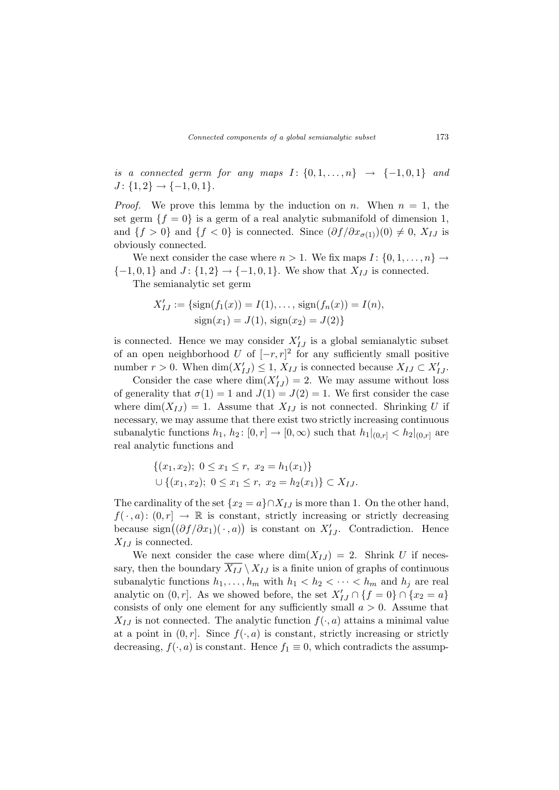is a connected germ for any maps  $I: \{0, 1, \ldots, n\} \rightarrow \{-1, 0, 1\}$  and  $J: \{1,2\} \rightarrow \{-1,0,1\}.$ 

*Proof.* We prove this lemma by the induction on n. When  $n = 1$ , the set germ  ${f = 0}$  is a germ of a real analytic submanifold of dimension 1, and  $\{f > 0\}$  and  $\{f < 0\}$  is connected. Since  $(\partial f / \partial x_{\sigma(1)})(0) \neq 0$ ,  $X_{IJ}$  is obviously connected.

We next consider the case where  $n > 1$ . We fix maps  $I: \{0, 1, \ldots, n\} \rightarrow$  $\{-1, 0, 1\}$  and  $J: \{1, 2\} \rightarrow \{-1, 0, 1\}$ . We show that  $X_{IJ}$  is connected.

The semianalytic set germ

$$
X'_{IJ} := \{ \text{sign}(f_1(x)) = I(1), \dots, \text{sign}(f_n(x)) = I(n), \\ \text{sign}(x_1) = J(1), \text{sign}(x_2) = J(2) \}
$$

is connected. Hence we may consider  $X'_{IJ}$  is a global semianalytic subset of an open neighborhood U of  $[-r, r]^2$  for any sufficiently small positive number  $r > 0$ . When  $\dim(X'_{IJ}) \leq 1$ ,  $X_{IJ}$  is connected because  $X_{IJ} \subset X'_{IJ}$ .

Consider the case where  $\dim(X'_{IJ}) = 2$ . We may assume without loss of generality that  $\sigma(1) = 1$  and  $J(1) = J(2) = 1$ . We first consider the case where  $\dim(X_{IJ}) = 1$ . Assume that  $X_{IJ}$  is not connected. Shrinking U if necessary, we may assume that there exist two strictly increasing continuous subanalytic functions  $h_1, h_2$ :  $[0, r] \rightarrow [0, \infty)$  such that  $h_1|_{[0, r]} < h_2|_{[0, r]}$  are real analytic functions and

$$
\{(x_1, x_2); 0 \le x_1 \le r, x_2 = h_1(x_1)\}\
$$
  

$$
\cup \{(x_1, x_2); 0 \le x_1 \le r, x_2 = h_2(x_1)\} \subset X_{IJ}.
$$

The cardinality of the set  $\{x_2 = a\} \cap X_{IJ}$  is more than 1. On the other hand,  $f(\cdot, a) \colon (0, r] \to \mathbb{R}$  is constant, strictly increasing or strictly decreasing  $J(\cdot, a): (0, r] \to \mathbb{R}$  is constant, strictly increasing or strictly decreasing<br>because  $sign((\partial f/\partial x_1)(\cdot, a))$  is constant on  $X'_{IJ}$ . Contradiction. Hence  $X_{IJ}$  is connected.

We next consider the case where  $\dim(X_{IJ}) = 2$ . Shrink U if necessary, then the boundary  $X_{IJ} \setminus X_{IJ}$  is a finite union of graphs of continuous subanalytic functions  $h_1, \ldots, h_m$  with  $h_1 < h_2 < \cdots < h_m$  and  $h_j$  are real analytic on  $(0, r]$ . As we showed before, the set  $X'_{IJ} \cap \{f = 0\} \cap \{x_2 = a\}$ consists of only one element for any sufficiently small  $a > 0$ . Assume that  $X_{IJ}$  is not connected. The analytic function  $f(\cdot, a)$  attains a minimal value at a point in  $(0, r]$ . Since  $f(\cdot, a)$  is constant, strictly increasing or strictly decreasing,  $f(\cdot, a)$  is constant. Hence  $f_1 \equiv 0$ , which contradicts the assump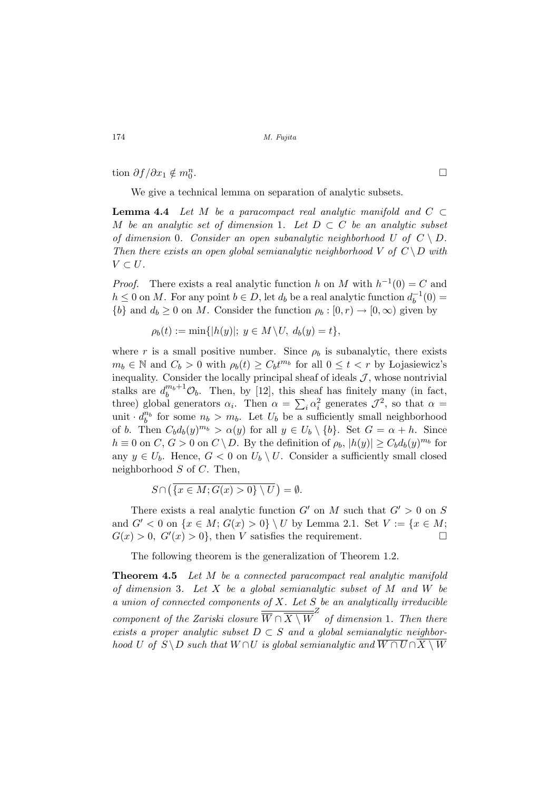tion  $\partial f / \partial x_1 \notin m_0^n$ 

We give a technical lemma on separation of analytic subsets.

**Lemma 4.4** Let M be a paracompact real analytic manifold and  $C \subset$ M be an analytic set of dimension 1. Let  $D \subset C$  be an analytic subset of dimension 0. Consider an open subanalytic neighborhood U of  $C \setminus D$ . Then there exists an open global semianalytic neighborhood V of  $C \ D$  with  $V \subset U$ .

*Proof.* There exists a real analytic function h on M with  $h^{-1}(0) = C$  and  $h \leq 0$  on M. For any point  $b \in D$ , let  $d_b$  be a real analytic function  $d_b^{-1}$  $b^{-1}(0) =$  $\{b\}$  and  $d_b \geq 0$  on M. Consider the function  $\rho_b : [0, r) \to [0, \infty)$  given by

$$
\rho_b(t) := \min\{|h(y)|; y \in M \setminus U, d_b(y) = t\},\
$$

where r is a small positive number. Since  $\rho_b$  is subanalytic, there exists  $m_b \in \mathbb{N}$  and  $C_b > 0$  with  $\rho_b(t) \ge C_b t^{m_b}$  for all  $0 \le t < r$  by Lojasiewicz's inequality. Consider the locally principal sheaf of ideals  $J$ , whose nontrivial stalks are  $d_b^{m_b+1} \mathcal{O}_b$ . Then, by [12], this sheaf has finitely many (in fact, three) global generators  $\alpha_i$ . Then  $\alpha =$  $\sum$  $i \alpha_i^2$  generates  $\mathcal{J}^2$ , so that  $\alpha =$ unit  $d_b^{n_b}$  for some  $n_b > m_b$ . Let  $U_b$  be a sufficiently small neighborhood of b. Then  $C_b d_b(y)^{m_b} > \alpha(y)$  for all  $y \in U_b \setminus \{b\}$ . Set  $G = \alpha + h$ . Since  $h \equiv 0$  on  $C, G > 0$  on  $C \setminus D$ . By the definition of  $\rho_b$ ,  $|h(y)| \geq C_b d_b(y)^{m_b}$  for any  $y \in U_b$ . Hence,  $G < 0$  on  $U_b \setminus U$ . Consider a sufficiently small closed neighborhood  $S$  of  $C$ . Then,

$$
S \cap (\overline{\{x \in M; G(x) > 0\} \setminus U}) = \emptyset.
$$

There exists a real analytic function  $G'$  on M such that  $G' > 0$  on S and  $G' < 0$  on  $\{x \in M; G(x) > 0\} \setminus U$  by Lemma 2.1. Set  $V := \{x \in M; G(x) > 0\}$  $G(x) > 0$ ,  $G'(x) > 0$ , then V satisfies the requirement.

The following theorem is the generalization of Theorem 1.2.

**Theorem 4.5** Let M be a connected paracompact real analytic manifold of dimension 3. Let  $X$  be a global semianalytic subset of  $M$  and  $W$  be a union of connected components of  $X$ . Let  $S$  be an analytically irreducible component of the Zariski closure  $\frac{1}{\overline{W} \cap \overline{X \setminus W}}$  of dimension 1. Then there exists a proper analytic subset  $D \subset S$  and a global semianalytic neighborhood U of  $S \ D$  such that  $W \cap U$  is global semianalytic and  $\overline{W \cap U} \cap X \setminus W$ 

. The contract of the contract of the contract of  $\Box$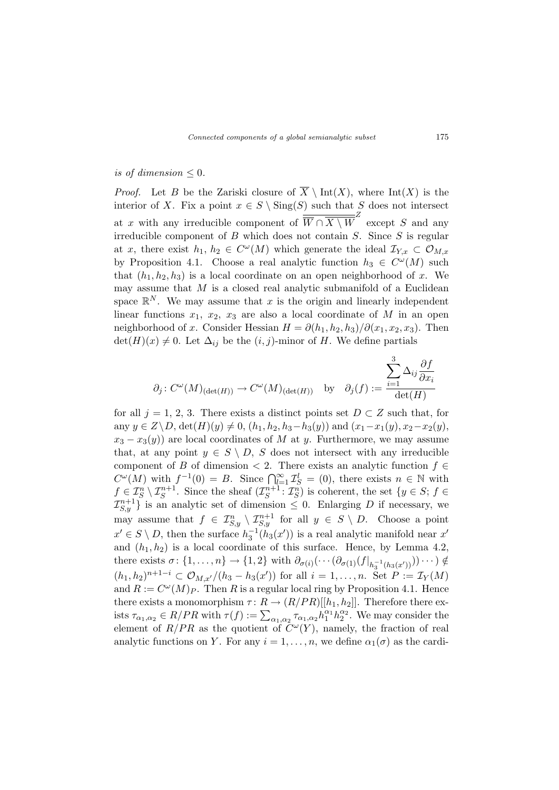# is of dimension  $\leq 0$ .

*Proof.* Let B be the Zariski closure of  $\overline{X} \setminus \text{Int}(X)$ , where  $\text{Int}(X)$  is the interior of X. Fix a point  $x \in S \setminus Sing(S)$  such that S does not intersect at x with any irreducible component of  $\overline{\overline{W} \cap \overline{X \setminus W}}^Z$  except S and any irreducible component of  $B$  which does not contain  $S$ . Since  $S$  is regular at x, there exist  $h_1, h_2 \in C^{\omega}(M)$  which generate the ideal  $\mathcal{I}_{Y,x} \subset \mathcal{O}_{M,x}$ by Proposition 4.1. Choose a real analytic function  $h_3 \in C^{\omega}(M)$  such that  $(h_1, h_2, h_3)$  is a local coordinate on an open neighborhood of x. We may assume that  $M$  is a closed real analytic submanifold of a Euclidean space  $\mathbb{R}^N$ . We may assume that x is the origin and linearly independent linear functions  $x_1, x_2, x_3$  are also a local coordinate of M in an open neighborhood of x. Consider Hessian  $H = \partial(h_1, h_2, h_3)/\partial(x_1, x_2, x_3)$ . Then  $\det(H)(x) \neq 0$ . Let  $\Delta_{ij}$  be the  $(i, j)$ -minor of H. We define partials

$$
\partial_j: C^{\omega}(M)_{(\det(H))} \to C^{\omega}(M)_{(\det(H))}
$$
 by  $\partial_j(f) := \frac{\sum_{i=1}^3 \Delta_{ij} \frac{\partial f}{\partial x_i}}{\det(H)}$ 

for all  $j = 1, 2, 3$ . There exists a distinct points set  $D \subset Z$  such that, for any  $y \in Z \backslash D$ ,  $\det(H)(y) \neq 0$ ,  $(h_1, h_2, h_3-h_3(y))$  and  $(x_1-x_1(y), x_2-x_2(y))$ ,  $x_3 - x_3(y)$  are local coordinates of M at y. Furthermore, we may assume that, at any point  $y \in S \setminus D$ , S does not intersect with any irreducible component of B of dimension  $\lt$  2. There exists an analytic function  $f \in$ C<sup> $\omega$ </sup>(*M*) with  $f^{-1}(0) = B$ . Since  $\bigcap_{l=1}^{\infty} \mathcal{I}_{S}^{l} = (0)$ , there exists  $n \in \mathbb{N}$  with  $f \in \mathcal{I}_S^n \setminus \mathcal{I}_S^{n+1}$ . Since the sheaf  $(\mathcal{I}_S^{n+1})$  $S^{n+1}$ :  $\mathcal{I}_S^n$ ) is coherent, the set  $\{y \in S; f \in$  $\{\mathcal{I}_{S,y}^{n+1}\}\$  is an analytic set of dimension  $\leq 0$ . Enlarging D if necessary, we may assume that  $f \in \mathcal{I}_{S,y}^n \setminus \mathcal{I}_{S,y}^{n+1}$  for all  $y \in S \setminus D$ . Choose a point  $x' \in S \setminus D$ , then the surface  $h_3^{-1}(h_3(x'))$  is a real analytic manifold near x' and  $(h_1, h_2)$  is a local coordinate of this surface. Hence, by Lemma 4.2, there exists  $\sigma: \{1, \ldots, n\} \to \{1, 2\}$  with  $\partial_{\sigma(i)}(\cdots(\partial_{\sigma(1)}(f|_{h_3^{-1}(h_3(x'))}))\cdots) \notin$  $(h_1, h_2)^{n+1-i} \subset \mathcal{O}_{M,x'}/(h_3 - h_3(x'))$  for all  $i = 1, ..., n$ . Set  $P := \mathcal{I}_Y(M)$ and  $R := C^{\omega}(M)P$ . Then R is a regular local ring by Proposition 4.1. Hence there exists a monomorphism  $\tau: R \to (R/PR)[[h_1, h_2]]$ . Therefore there exthere exists a monomorphism  $\tau: \mathbb{R} \to (\mathbb{R}/I \mathbb{R})[[\mu_1, \mu_2]]$ . Therefore there exists  $\tau_{\alpha_1, \alpha_2} \in R/PR$  with  $\tau(f) := \sum_{\alpha_1, \alpha_2} \tau_{\alpha_1, \alpha_2} h_1^{\alpha_1} h_2^{\alpha_2}$ . We may consider the element of  $R/PR$  as the quotient of  $\tilde{C}^{\omega}(Y)$ , namely, the fraction of real analytic functions on Y. For any  $i = 1, \ldots, n$ , we define  $\alpha_1(\sigma)$  as the cardi-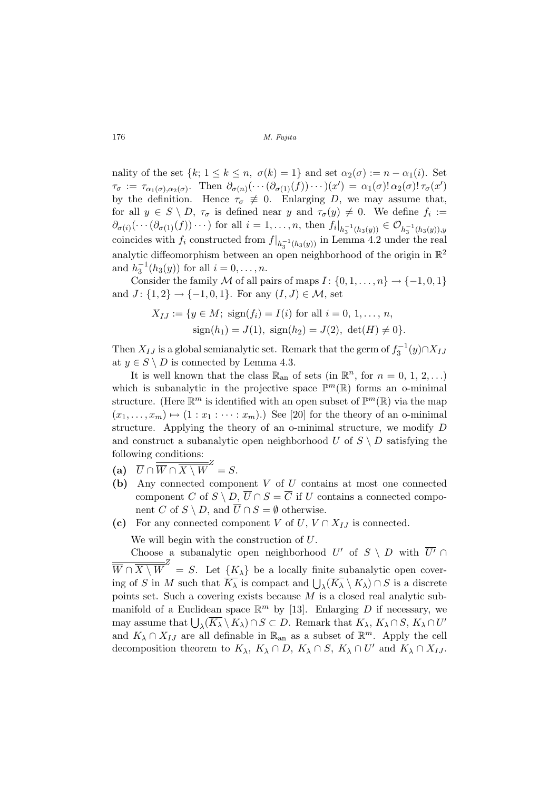nality of the set  $\{k; 1 \leq k \leq n, \sigma(k) = 1\}$  and set  $\alpha_2(\sigma) := n - \alpha_1(i)$ . Set  $\tau_{\sigma} := \tau_{\alpha_1(\sigma), \alpha_2(\sigma)}$ . Then  $\partial_{\sigma(n)}(\cdots(\partial_{\sigma(1)}(f))\cdots)(x') = \alpha_1(\sigma)!\alpha_2(\sigma)!\tau_{\sigma}(x')$ by the definition. Hence  $\tau_{\sigma} \neq 0$ . Enlarging D, we may assume that, for all  $y \in S \setminus D$ ,  $\tau_{\sigma}$  is defined near y and  $\tau_{\sigma}(y) \neq 0$ . We define  $f_i :=$  $\partial_{\sigma(i)}(\cdots(\partial_{\sigma(1)}(f))\cdots)$  for all  $i=1,\ldots,n$ , then  $f_i|_{h_3^{-1}(h_3(y))}\in \mathcal{O}_{h_3^{-1}(h_3(y)),y}$ coincides with  $f_i$  constructed from  $f|_{h_3^{-1}(h_3(y))}$  in Lemma 4.2 under the real analytic diffeomorphism between an open neighborhood of the origin in  $\mathbb{R}^2$ and  $h_3^{-1}(h_3(y))$  for all  $i = 0, ..., n$ .

Consider the family M of all pairs of maps  $I: \{0, 1, \ldots, n\} \rightarrow \{-1, 0, 1\}$ and  $J: \{1, 2\} \rightarrow \{-1, 0, 1\}$ . For any  $(I, J) \in \mathcal{M}$ , set

$$
X_{IJ} := \{ y \in M; \text{ sign}(f_i) = I(i) \text{ for all } i = 0, 1, ..., n, \nsign(h_1) = J(1), \text{ sign}(h_2) = J(2), \text{ det}(H) \neq 0 \}.
$$

Then  $X_{IJ}$  is a global semianalytic set. Remark that the germ of  $f_3^{-1}(y) \cap X_{IJ}$ at  $y \in S \setminus D$  is connected by Lemma 4.3.

It is well known that the class  $\mathbb{R}_{\text{an}}$  of sets (in  $\mathbb{R}^n$ , for  $n = 0, 1, 2, ...$ ) which is subanalytic in the projective space  $\mathbb{P}^m(\mathbb{R})$  forms an o-minimal structure. (Here  $\mathbb{R}^m$  is identified with an open subset of  $\mathbb{P}^m(\mathbb{R})$  via the map  $(x_1, \ldots, x_m) \mapsto (1 : x_1 : \cdots : x_m).$  See [20] for the theory of an o-minimal structure. Applying the theory of an o-minimal structure, we modify D and construct a subanalytic open neighborhood U of  $S \setminus D$  satisfying the following conditions:

- (a)  $\overline{U} \cap \overline{\overline{W} \cap \overline{X \setminus W}}^{Z} = S.$
- (b) Any connected component V of U contains at most one connected component C of  $S \setminus D$ ,  $\overline{U} \cap S = \overline{C}$  if U contains a connected component C of  $S \setminus D$ , and  $\overline{U} \cap S = \emptyset$  otherwise.
- (c) For any connected component V of  $U, V \cap X_{I,J}$  is connected.

We will begin with the construction of U.

Choose a subanalytic open neighborhood U' of  $S \setminus D$  with  $\overline{U'} \cap D$  $\overline{\overline{W} \cap \overline{X \setminus W}}^Z = S.$  Let  $\{K_{\lambda}\}\$ be a locally finite subanalytic open cover- $W \cap X \setminus W = S$ . Let  $\{K_{\lambda}\}\}$  be a locally limite suballarytic open cover-<br>ing of S in M such that  $\overline{K_{\lambda}}$  is compact and  $\bigcup_{\lambda}(\overline{K_{\lambda}} \setminus K_{\lambda}) \cap S$  is a discrete points set. Such a covering exists because  $M$  is a closed real analytic submanifold of a Euclidean space  $\mathbb{R}^m$  by [13]. Enlarging D if necessary, we mannote of a Euclidean space is strong [15]. Emaiging D in necessary, we<br>may assume that  $\bigcup_{\lambda} (\overline{K_{\lambda}} \setminus K_{\lambda}) \cap S \subset D$ . Remark that  $K_{\lambda}, K_{\lambda} \cap S, K_{\lambda} \cap U'$ and  $K_{\lambda} \cap X_{IJ}$  are all definable in  $\mathbb{R}_{\text{an}}$  as a subset of  $\mathbb{R}^m$ . Apply the cell decomposition theorem to  $K_{\lambda}$ ,  $K_{\lambda} \cap D$ ,  $K_{\lambda} \cap S$ ,  $K_{\lambda} \cap U'$  and  $K_{\lambda} \cap X_{IJ}$ .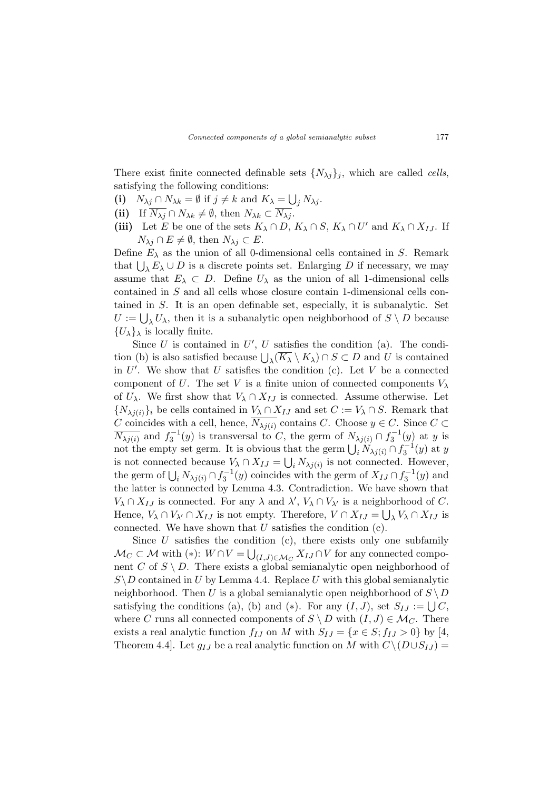There exist finite connected definable sets  $\{N_{\lambda i}\}_i$ , which are called *cells*, satisfying the following conditions: S

- (i)  $N_{\lambda j} \cap N_{\lambda k} = \emptyset$  if  $j \neq k$  and  $K_{\lambda} =$  $j N_{\lambda j}$ .
- (ii) If  $\overline{N_{\lambda i}} \cap N_{\lambda k} \neq \emptyset$ , then  $N_{\lambda k} \subset \overline{N_{\lambda i}}$ .
- (iii) Let E be one of the sets  $K_{\lambda} \cap D$ ,  $K_{\lambda} \cap S$ ,  $K_{\lambda} \cap U'$  and  $K_{\lambda} \cap X_{IJ}$ . If  $N_{\lambda j} \cap E \neq \emptyset$ , then  $N_{\lambda j} \subset E$ .

Define  $E_{\lambda}$  as the union of all 0-dimensional cells contained in S. Remark Define  $E_{\lambda}$  as the union of an o-uniferential cents contained in *B*. Remark<br>that  $\bigcup_{\lambda} E_{\lambda} \cup D$  is a discrete points set. Enlarging *D* if necessary, we may assume that  $E_{\lambda} \subset D$ . Define  $U_{\lambda}$  as the union of all 1-dimensional cells contained in S and all cells whose closure contain 1-dimensional cells contained in S. It is an open definable set, especially, it is subanalytic. Set tance in 5. It is an open demable set, especially, it is subanalytic. Set  $U := \bigcup_{\lambda} U_{\lambda}$ , then it is a subanalytic open neighborhood of  $S \setminus D$  because  ${U_\lambda}_\lambda$  is locally finite.

Since  $U$  is contained in  $U'$ ,  $U$  satisfies the condition (a). The condition (b) is also satisfied because  $\bigcup_{\lambda} (\overline{K_{\lambda}} \setminus K_{\lambda}) \cap S \subset D$  and U is contained in  $U'$ . We show that  $U$  satisfies the condition (c). Let  $V$  be a connected component of U. The set V is a finite union of connected components  $V_\lambda$ of  $U_\lambda$ . We first show that  $V_\lambda \cap X_{IJ}$  is connected. Assume otherwise. Let  ${N_{\lambda j(i)}\}_i$  be cells contained in  $V_{\lambda} \cap X_{IJ}$  and set  $C := V_{\lambda} \cap S$ . Remark that C coincides with a cell, hence,  $\overline{N_{\lambda j(i)}}$  contains C. Choose  $y \in C$ . Since  $C \subset$  $\overline{N_{\lambda j(i)}}$  and  $f_3^{-1}(y)$  is transversal to C, the germ of  $N_{\lambda j(i)} \cap f_3^{-1}(y)$  at y is  $\lim_{\lambda} \frac{\partial f(x)}{\partial x}$  and  $\lim_{\lambda} f_3$  (y) is transversar to C, the germ of  $\lim_{\lambda} \frac{\partial f_1}{\partial x}$  (y) at y is<br>not the empty set germ. It is obvious that the germ  $\bigcup_i N_{\lambda j(i)} \cap f_3^{-1}(y)$  at y is not connected because  $V_{\lambda} \cap X_{IJ} = \bigcup_i N_{\lambda j(i)}$  is not connected. However, the germ of  $\bigcup_i N_{\lambda j(i)} \cap f_3^{-1}(y)$  coincides with the germ of  $X_{IJ} \cap f_3^{-1}(y)$  and the latter is connected by Lemma 4.3. Contradiction. We have shown that  $V_{\lambda} \cap X_{IJ}$  is connected. For any  $\lambda$  and  $\lambda'$ ,  $V_{\lambda} \cap V_{\lambda'}$  is a neighborhood of C. Hence,  $V_{\lambda} \cap V_{\lambda'} \cap X_{IJ}$  is not empty. Therefore,  $V \cap X_{IJ} = \bigcup_{\lambda} V_{\lambda} \cap X_{IJ}$  is connected. We have shown that  $U$  satisfies the condition  $(c)$ .

Since  $U$  satisfies the condition (c), there exists only one subfamily  $\mathcal{M}_C \subset \mathcal{M}$  with  $(*)$ :  $W \cap V = \bigcup_{(I,J) \in \mathcal{M}_C} X_{IJ} \cap V$  for any connected component C of  $S \setminus D$ . There exists a global semianalytic open neighborhood of  $S \ D$  contained in U by Lemma 4.4. Replace U with this global semianalytic neighborhood. Then U is a global semianalytic open neighborhood of  $S \setminus D$ satisfying the conditions (a), (b) and (\*). For any  $(I, J)$ , set  $S_{IJ} := \bigcup C$ , where C runs all connected components of  $S \setminus D$  with  $(I, J) \in \mathcal{M}_C$ . There exists a real analytic function  $f_{IJ}$  on M with  $S_{IJ} = \{x \in S; f_{IJ} > 0\}$  by [4, Theorem 4.4]. Let  $g_{IJ}$  be a real analytic function on M with  $C \setminus (D \cup S_{IJ}) =$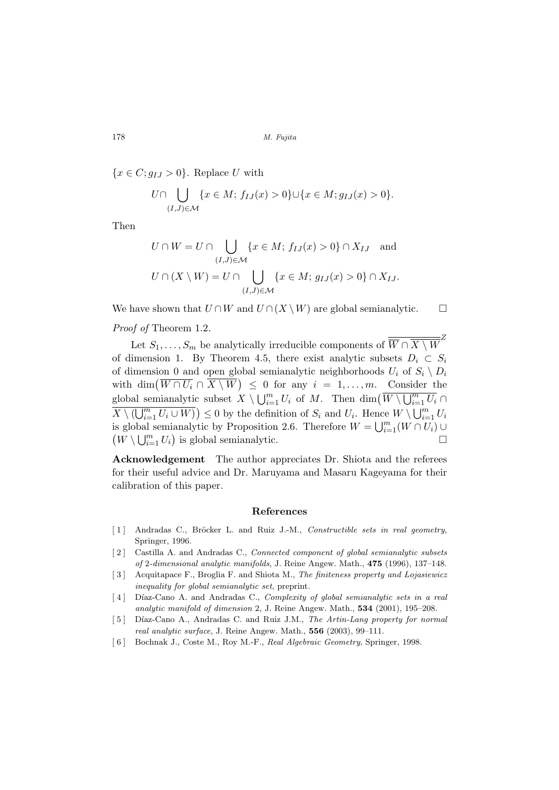${x \in C; g_{IJ} > 0}.$  Replace U with

$$
U \cap \bigcup_{(I,J) \in \mathcal{M}} \{x \in M; f_{IJ}(x) > 0\} \cup \{x \in M; g_{IJ}(x) > 0\}.
$$

Then

$$
U \cap W = U \cap \bigcup_{(I,J) \in \mathcal{M}} \{x \in M; f_{IJ}(x) > 0\} \cap X_{IJ} \text{ and}
$$
  

$$
U \cap (X \setminus W) = U \cap \bigcup_{(I,J) \in \mathcal{M}} \{x \in M; g_{IJ}(x) > 0\} \cap X_{IJ}.
$$

We have shown that  $U \cap W$  and  $U \cap (X \setminus W)$  are global semianalytic.  $\Box$ 

Proof of Theorem 1.2.

Let  $S_1, \ldots, S_m$  be analytically irreducible components of  $\overline{W \cap X \setminus W}^Z$ of dimension 1. By Theorem 4.5, there exist analytic subsets  $D_i \subset S_i$ of dimension 0 and open global semianalytic neighborhoods  $U_i$  of  $S_i \setminus D_i$ of dimension 0 and open global semianalytic heighborhoods  $U_i$  or  $S_i \setminus D_i$ <br>with dim $(\overline{W \cap U_i} \cap \overline{X} \setminus \overline{W}) \leq 0$  for any  $i = 1, ..., m$ . Consider the global semianalytic subset  $X \setminus \bigcup_{i=1}^{m} U_i$  of M. Then  $\dim(W \setminus \bigcup_{i=1}^{m} W_i)$ c subset  $X \setminus \bigcup_{i=1}^m U_i$  of M. Then  $\dim(W \setminus \bigcup_{i=1}^m U_i \cap$  $\frac{S^{10,001,000}}{X \setminus (\bigcup_{i=1}^{m}$  $\left(\frac{m}{U_{i=1}} U_i \cup W\right) \leq 0$  by the definition of  $S_i$  and  $U_i$ . Hence  $W \setminus \bigcup_{i=1}^m$  $\sum\limits_{i=1}^m U_i$  $\{X \setminus (\bigcup_{i=1}^{\infty} \bigcup_{i=1}^{\infty} V_i) \leq 0\}$  by the definition of  $\bigcup_{i=1}^{\infty}$  and  $\bigcup_{i=1}^{\infty} V_i$ . Hence is global semianalytic by Proposition 2.6. Therefore  $W = \bigcup_{i=1}^{m} (W \cap U_i) \cup$ s giobal $W \setminus \bigcup_{i=1}^m$  $\sum_{i=1}^{m} U_i$  is global semianalytic.

Acknowledgement The author appreciates Dr. Shiota and the referees for their useful advice and Dr. Maruyama and Masaru Kageyama for their calibration of this paper.

# References

- [1] Andradas C., Bröcker L. and Ruiz J.-M., Constructible sets in real geometry, Springer, 1996.
- [2] Castilla A. and Andradas C., *Connected component of global semianalytic subsets* of 2-dimensional analytic manifolds, J. Reine Angew. Math., 475 (1996), 137–148.
- [3] Acquitapace F., Broglia F. and Shiota M., The finiteness property and Lojasiewicz inequality for global semianalytic set, preprint.
- [4] Díaz-Cano A. and Andradas C., Complexity of global semianalytic sets in a real analytic manifold of dimension 2, J. Reine Angew. Math., 534 (2001), 195–208.
- [5] Díaz-Cano A., Andradas C. and Ruiz J.M., The Artin-Lang property for normal real analytic surface, J. Reine Angew. Math., 556 (2003), 99–111.
- [ 6 ] Bochnak J., Coste M., Roy M.-F., Real Algebraic Geometry, Springer, 1998.